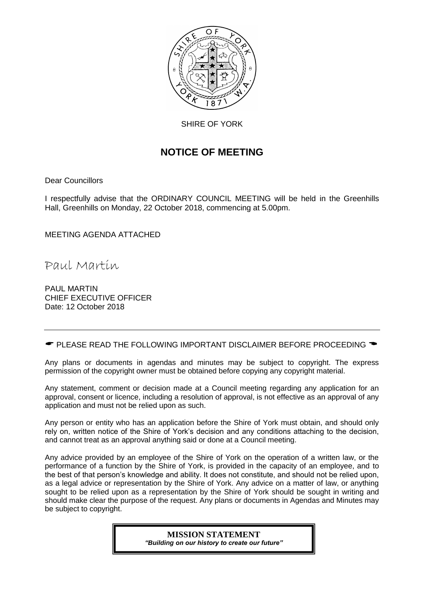

SHIRE OF YORK

# **NOTICE OF MEETING**

Dear Councillors

I respectfully advise that the ORDINARY COUNCIL MEETING will be held in the Greenhills Hall, Greenhills on Monday, 22 October 2018, commencing at 5.00pm.

MEETING AGENDA ATTACHED

Paul Martin

PAUL MARTIN CHIEF EXECUTIVE OFFICER Date: 12 October 2018

 $\bullet$  PLEASE READ THE FOLLOWING IMPORTANT DISCLAIMER BEFORE PROCEEDING  $\bullet$ 

Any plans or documents in agendas and minutes may be subject to copyright. The express permission of the copyright owner must be obtained before copying any copyright material.

Any statement, comment or decision made at a Council meeting regarding any application for an approval, consent or licence, including a resolution of approval, is not effective as an approval of any application and must not be relied upon as such.

Any person or entity who has an application before the Shire of York must obtain, and should only rely on, written notice of the Shire of York's decision and any conditions attaching to the decision, and cannot treat as an approval anything said or done at a Council meeting.

Any advice provided by an employee of the Shire of York on the operation of a written law, or the performance of a function by the Shire of York, is provided in the capacity of an employee, and to the best of that person's knowledge and ability. It does not constitute, and should not be relied upon, as a legal advice or representation by the Shire of York. Any advice on a matter of law, or anything sought to be relied upon as a representation by the Shire of York should be sought in writing and should make clear the purpose of the request. Any plans or documents in Agendas and Minutes may be subject to copyright.

> **MISSION STATEMENT** *"Building on our history to create our future"*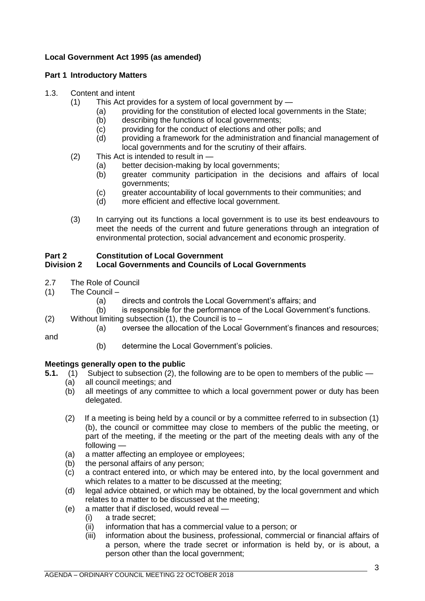### **Local Government Act 1995 (as amended)**

### **Part 1 Introductory Matters**

### 1.3. Content and intent

- (1) This Act provides for a system of local government by
	- (a) providing for the constitution of elected local governments in the State;
	- (b) describing the functions of local governments;
	- (c) providing for the conduct of elections and other polls; and
	- (d) providing a framework for the administration and financial management of local governments and for the scrutiny of their affairs.
- (2) This Act is intended to result in
	- (a) better decision-making by local governments;
	- (b) greater community participation in the decisions and affairs of local governments;
	- (c) greater accountability of local governments to their communities; and
	- (d) more efficient and effective local government.
- (3) In carrying out its functions a local government is to use its best endeavours to meet the needs of the current and future generations through an integration of environmental protection, social advancement and economic prosperity.

### **Part 2 Constitution of Local Government**

### **Division 2 Local Governments and Councils of Local Governments**

- 2.7 The Role of Council
- (1) The Council
	- (a) directs and controls the Local Government's affairs; and
	- (b) is responsible for the performance of the Local Government's functions.
- (2) Without limiting subsection  $(1)$ , the Council is to
	- (a) oversee the allocation of the Local Government's finances and resources;

and

(b) determine the Local Government's policies.

### **Meetings generally open to the public**

- **5.1.** (1) Subject to subsection (2), the following are to be open to members of the public
	- (a) all council meetings; and
	- (b) all meetings of any committee to which a local government power or duty has been delegated.
	- (2) If a meeting is being held by a council or by a committee referred to in subsection (1) (b), the council or committee may close to members of the public the meeting, or part of the meeting, if the meeting or the part of the meeting deals with any of the following —
	- (a) a matter affecting an employee or employees;
	- (b) the personal affairs of any person;
	- (c) a contract entered into, or which may be entered into, by the local government and which relates to a matter to be discussed at the meeting;
	- (d) legal advice obtained, or which may be obtained, by the local government and which relates to a matter to be discussed at the meeting;
	- (e) a matter that if disclosed, would reveal
		- (i) a trade secret;
		- (ii) information that has a commercial value to a person; or
		- (iii) information about the business, professional, commercial or financial affairs of a person, where the trade secret or information is held by, or is about, a person other than the local government;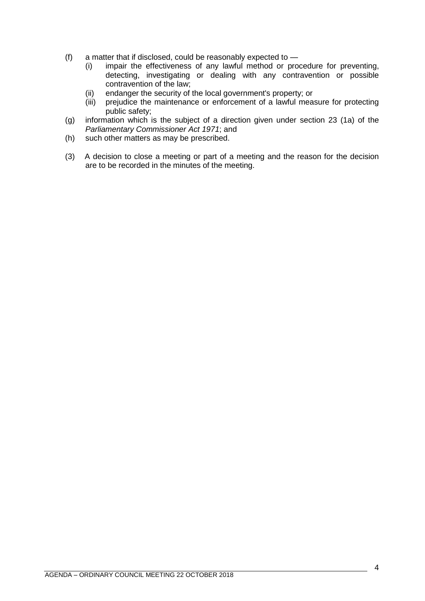- (f) a matter that if disclosed, could be reasonably expected to  $-$ 
	- (i) impair the effectiveness of any lawful method or procedure for preventing, detecting, investigating or dealing with any contravention or possible contravention of the law;
	- (ii) endanger the security of the local government's property; or
	- (iii) prejudice the maintenance or enforcement of a lawful measure for protecting public safety;
- (g) information which is the subject of a direction given under section 23 (1a) of the *Parliamentary Commissioner Act 1971*; and
- (h) such other matters as may be prescribed.
- (3) A decision to close a meeting or part of a meeting and the reason for the decision are to be recorded in the minutes of the meeting.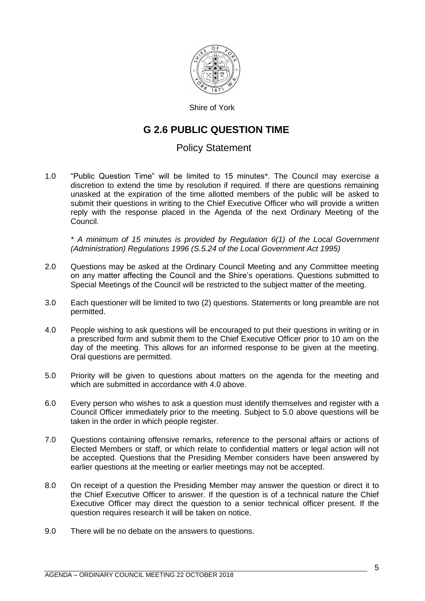

Shire of York

# **G 2.6 PUBLIC QUESTION TIME**

# Policy Statement

1.0 "Public Question Time" will be limited to 15 minutes\*. The Council may exercise a discretion to extend the time by resolution if required. If there are questions remaining unasked at the expiration of the time allotted members of the public will be asked to submit their questions in writing to the Chief Executive Officer who will provide a written reply with the response placed in the Agenda of the next Ordinary Meeting of the Council.

*\* A minimum of 15 minutes is provided by Regulation 6(1) of the Local Government (Administration) Regulations 1996 (S.5.24 of the Local Government Act 1995)*

- 2.0 Questions may be asked at the Ordinary Council Meeting and any Committee meeting on any matter affecting the Council and the Shire's operations. Questions submitted to Special Meetings of the Council will be restricted to the subject matter of the meeting.
- 3.0 Each questioner will be limited to two (2) questions. Statements or long preamble are not permitted.
- 4.0 People wishing to ask questions will be encouraged to put their questions in writing or in a prescribed form and submit them to the Chief Executive Officer prior to 10 am on the day of the meeting. This allows for an informed response to be given at the meeting. Oral questions are permitted.
- 5.0 Priority will be given to questions about matters on the agenda for the meeting and which are submitted in accordance with 4.0 above.
- 6.0 Every person who wishes to ask a question must identify themselves and register with a Council Officer immediately prior to the meeting. Subject to 5.0 above questions will be taken in the order in which people register.
- 7.0 Questions containing offensive remarks, reference to the personal affairs or actions of Elected Members or staff, or which relate to confidential matters or legal action will not be accepted. Questions that the Presiding Member considers have been answered by earlier questions at the meeting or earlier meetings may not be accepted.
- 8.0 On receipt of a question the Presiding Member may answer the question or direct it to the Chief Executive Officer to answer. If the question is of a technical nature the Chief Executive Officer may direct the question to a senior technical officer present. If the question requires research it will be taken on notice.
- 9.0 There will be no debate on the answers to questions.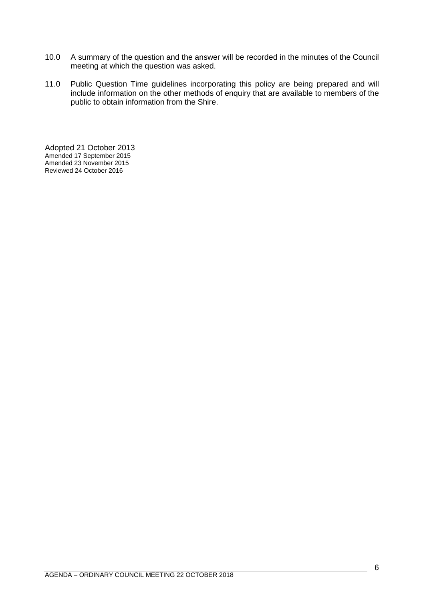- 10.0 A summary of the question and the answer will be recorded in the minutes of the Council meeting at which the question was asked.
- 11.0 Public Question Time guidelines incorporating this policy are being prepared and will include information on the other methods of enquiry that are available to members of the public to obtain information from the Shire.

Adopted 21 October 2013 Amended 17 September 2015 Amended 23 November 2015 Reviewed 24 October 2016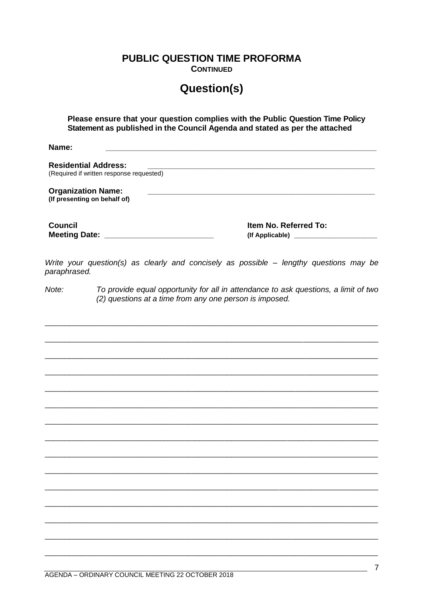**PUBLIC QUESTION TIME PROFORMA** 

**CONTINUED** 

# **Question(s)**

Please ensure that your question complies with the Public Question Time Policy Statement as published in the Council Agenda and stated as per the attached

Name<sup>.</sup>

**Residential Address:** (Required if written response requested) **Organization Name:** (If presenting on behalf of) **Council** Item No. Referred To: 

Write your question(s) as clearly and concisely as possible - lengthy questions may be paraphrased.

 $Note:$ To provide equal opportunity for all in attendance to ask questions, a limit of two (2) questions at a time from any one person is imposed.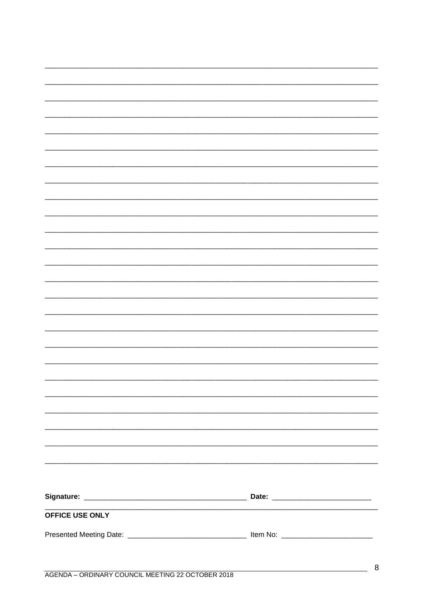| OFFICE USE ONLY |  |
|-----------------|--|
|                 |  |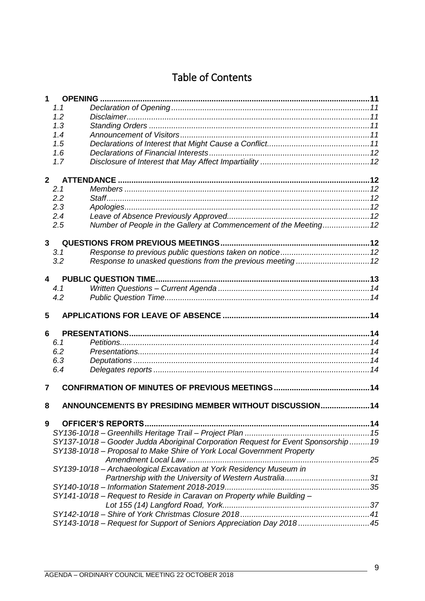# Table of Contents

| 1                       |     | <b>OPENING </b>                                                                    |  |
|-------------------------|-----|------------------------------------------------------------------------------------|--|
|                         | 1.1 |                                                                                    |  |
|                         | 1.2 |                                                                                    |  |
|                         | 1.3 |                                                                                    |  |
|                         | 1.4 |                                                                                    |  |
|                         | 1.5 |                                                                                    |  |
|                         | 1.6 |                                                                                    |  |
|                         | 1.7 |                                                                                    |  |
| $\overline{2}$          |     |                                                                                    |  |
|                         | 2.1 |                                                                                    |  |
|                         | 2.2 |                                                                                    |  |
|                         | 2.3 |                                                                                    |  |
|                         | 2.4 |                                                                                    |  |
|                         | 2.5 | Number of People in the Gallery at Commencement of the Meeting 12                  |  |
| $\mathbf{3}$            |     |                                                                                    |  |
|                         | 3.1 |                                                                                    |  |
|                         | 3.2 |                                                                                    |  |
| $\overline{\mathbf{A}}$ |     |                                                                                    |  |
|                         | 4.1 |                                                                                    |  |
|                         | 4.2 |                                                                                    |  |
| 5                       |     |                                                                                    |  |
| 6                       |     |                                                                                    |  |
|                         | 6.1 |                                                                                    |  |
|                         | 6.2 |                                                                                    |  |
|                         | 6.3 |                                                                                    |  |
|                         | 6.4 |                                                                                    |  |
| 7                       |     |                                                                                    |  |
| 8                       |     | ANNOUNCEMENTS BY PRESIDING MEMBER WITHOUT DISCUSSION 14                            |  |
|                         |     |                                                                                    |  |
| 9                       |     |                                                                                    |  |
|                         |     |                                                                                    |  |
|                         |     | SY137-10/18 - Gooder Judda Aboriginal Corporation Request for Event Sponsorship 19 |  |
|                         |     | SY138-10/18 - Proposal to Make Shire of York Local Government Property             |  |
|                         |     |                                                                                    |  |
|                         |     | SY139-10/18 - Archaeological Excavation at York Residency Museum in                |  |
|                         |     |                                                                                    |  |
|                         |     |                                                                                    |  |
|                         |     | SY141-10/18 - Request to Reside in Caravan on Property while Building -            |  |
|                         |     |                                                                                    |  |
|                         |     |                                                                                    |  |
|                         |     | SY143-10/18 - Request for Support of Seniors Appreciation Day 201845               |  |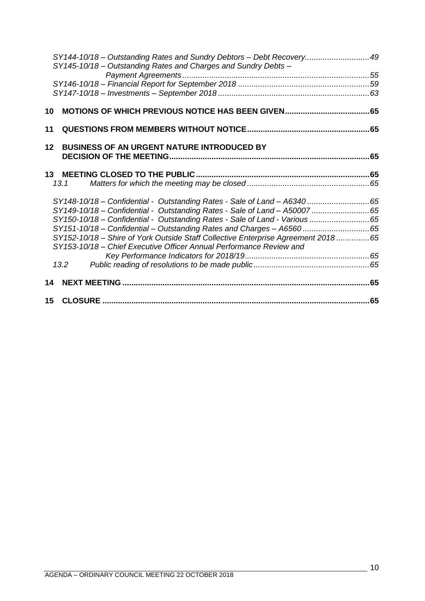|                 | SY144-10/18 – Outstanding Rates and Sundry Debtors – Debt Recovery49             |     |
|-----------------|----------------------------------------------------------------------------------|-----|
|                 | SY145-10/18 - Outstanding Rates and Charges and Sundry Debts -                   |     |
|                 |                                                                                  |     |
|                 |                                                                                  |     |
|                 |                                                                                  |     |
|                 |                                                                                  |     |
| 10              |                                                                                  |     |
| 11              |                                                                                  |     |
| 12 <sup>°</sup> | <b>BUSINESS OF AN URGENT NATURE INTRODUCED BY</b>                                |     |
|                 |                                                                                  |     |
|                 |                                                                                  |     |
|                 |                                                                                  |     |
|                 | 13.1                                                                             |     |
|                 |                                                                                  |     |
|                 | SY149-10/18 - Confidential - Outstanding Rates - Sale of Land - A50007 65        |     |
|                 |                                                                                  |     |
|                 |                                                                                  |     |
|                 | SY152-10/18 - Shire of York Outside Staff Collective Enterprise Agreement 201865 |     |
|                 | SY153-10/18 - Chief Executive Officer Annual Performance Review and              |     |
|                 |                                                                                  |     |
|                 | 13.2                                                                             |     |
| 14              |                                                                                  |     |
|                 |                                                                                  |     |
|                 |                                                                                  | .65 |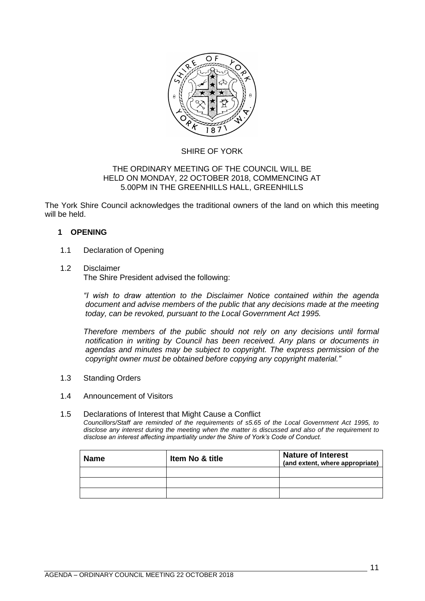

### SHIRE OF YORK

### THE ORDINARY MEETING OF THE COUNCIL WILL BE HELD ON MONDAY, 22 OCTOBER 2018, COMMENCING AT 5.00PM IN THE GREENHILLS HALL, GREENHILLS

The York Shire Council acknowledges the traditional owners of the land on which this meeting will be held.

### <span id="page-10-0"></span>**1 OPENING**

### <span id="page-10-1"></span>1.1 Declaration of Opening

### <span id="page-10-2"></span>1.2 Disclaimer

The Shire President advised the following:

*"I wish to draw attention to the Disclaimer Notice contained within the agenda document and advise members of the public that any decisions made at the meeting today, can be revoked, pursuant to the Local Government Act 1995.* 

*Therefore members of the public should not rely on any decisions until formal notification in writing by Council has been received. Any plans or documents in agendas and minutes may be subject to copyright. The express permission of the copyright owner must be obtained before copying any copyright material."*

<span id="page-10-3"></span>1.3 Standing Orders

#### <span id="page-10-4"></span>1.4 Announcement of Visitors

#### <span id="page-10-5"></span>1.5 Declarations of Interest that Might Cause a Conflict

*Councillors/Staff are reminded of the requirements of s5.65 of the Local Government Act 1995, to disclose any interest during the meeting when the matter is discussed and also of the requirement to disclose an interest affecting impartiality under the Shire of York's Code of Conduct.*

| <b>Name</b> | <b>Item No &amp; title</b> | <b>Nature of Interest</b><br>(and extent, where appropriate) |
|-------------|----------------------------|--------------------------------------------------------------|
|             |                            |                                                              |
|             |                            |                                                              |
|             |                            |                                                              |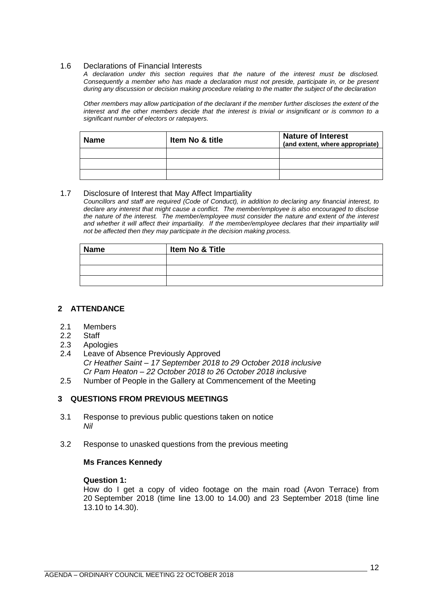#### <span id="page-11-0"></span>1.6 Declarations of Financial Interests

*A declaration under this section requires that the nature of the interest must be disclosed. Consequently a member who has made a declaration must not preside, participate in, or be present during any discussion or decision making procedure relating to the matter the subject of the declaration*

*Other members may allow participation of the declarant if the member further discloses the extent of the interest and the other members decide that the interest is trivial or insignificant or is common to a significant number of electors or ratepayers.*

| <b>Name</b> | Item No & title | <b>Nature of Interest</b><br>(and extent, where appropriate) |
|-------------|-----------------|--------------------------------------------------------------|
|             |                 |                                                              |
|             |                 |                                                              |
|             |                 |                                                              |

#### <span id="page-11-1"></span>1.7 Disclosure of Interest that May Affect Impartiality

*Councillors and staff are required (Code of Conduct), in addition to declaring any financial interest, to declare any interest that might cause a conflict. The member/employee is also encouraged to disclose the nature of the interest. The member/employee must consider the nature and extent of the interest*  and whether it will affect their impartiality. If the member/employee declares that their impartiality will *not be affected then they may participate in the decision making process.*

| <b>Name</b> | Item No & Title |
|-------------|-----------------|
|             |                 |
|             |                 |
|             |                 |

#### <span id="page-11-2"></span>**2 ATTENDANCE**

- <span id="page-11-3"></span>2.1 Members
- <span id="page-11-4"></span>2.2 Staff
- <span id="page-11-5"></span>2.3 Apologies
- <span id="page-11-6"></span>2.4 Leave of Absence Previously Approved *Cr Heather Saint – 17 September 2018 to 29 October 2018 inclusive Cr Pam Heaton – 22 October 2018 to 26 October 2018 inclusive*
- <span id="page-11-7"></span>2.5 Number of People in the Gallery at Commencement of the Meeting

#### <span id="page-11-8"></span>**3 QUESTIONS FROM PREVIOUS MEETINGS**

- <span id="page-11-9"></span>3.1 Response to previous public questions taken on notice *Nil*
- <span id="page-11-10"></span>3.2 Response to unasked questions from the previous meeting

#### **Ms Frances Kennedy**

#### **Question 1:**

How do I get a copy of video footage on the main road (Avon Terrace) from 20 September 2018 (time line 13.00 to 14.00) and 23 September 2018 (time line 13.10 to 14.30).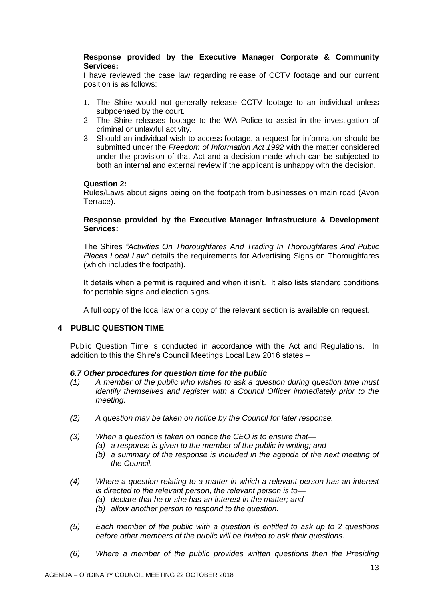### **Response provided by the Executive Manager Corporate & Community Services:**

I have reviewed the case law regarding release of CCTV footage and our current position is as follows:

- 1. The Shire would not generally release CCTV footage to an individual unless subpoenaed by the court.
- 2. The Shire releases footage to the WA Police to assist in the investigation of criminal or unlawful activity.
- 3. Should an individual wish to access footage, a request for information should be submitted under the *Freedom of Information Act 1992* with the matter considered under the provision of that Act and a decision made which can be subjected to both an internal and external review if the applicant is unhappy with the decision.

### **Question 2:**

Rules/Laws about signs being on the footpath from businesses on main road (Avon Terrace).

### **Response provided by the Executive Manager Infrastructure & Development Services:**

The Shires *"Activities On Thoroughfares And Trading In Thoroughfares And Public Places Local Law"* details the requirements for Advertising Signs on Thoroughfares (which includes the footpath).

It details when a permit is required and when it isn't. It also lists standard conditions for portable signs and election signs.

A full copy of the local law or a copy of the relevant section is available on request.

### <span id="page-12-0"></span>**4 PUBLIC QUESTION TIME**

Public Question Time is conducted in accordance with the Act and Regulations. In addition to this the Shire's Council Meetings Local Law 2016 states –

#### *6.7 Other procedures for question time for the public*

- *(1) A member of the public who wishes to ask a question during question time must identify themselves and register with a Council Officer immediately prior to the meeting.*
- *(2) A question may be taken on notice by the Council for later response.*
- *(3) When a question is taken on notice the CEO is to ensure that—*
	- *(a) a response is given to the member of the public in writing; and* 
		- (b) a summary of the response is included in the agenda of the next meeting of *the Council.*
- *(4) Where a question relating to a matter in which a relevant person has an interest is directed to the relevant person, the relevant person is to—*
	- *(a) declare that he or she has an interest in the matter; and*
	- *(b) allow another person to respond to the question.*
- *(5) Each member of the public with a question is entitled to ask up to 2 questions before other members of the public will be invited to ask their questions.*
- *(6) Where a member of the public provides written questions then the Presiding*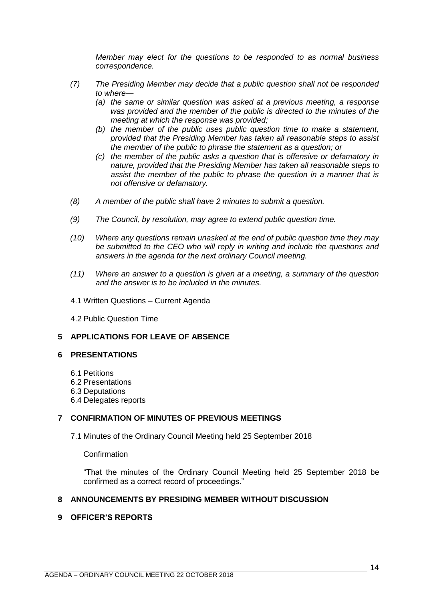*Member may elect for the questions to be responded to as normal business correspondence.* 

- *(7) The Presiding Member may decide that a public question shall not be responded to where—*
	- *(a) the same or similar question was asked at a previous meeting, a response was provided and the member of the public is directed to the minutes of the meeting at which the response was provided;*
	- *(b) the member of the public uses public question time to make a statement, provided that the Presiding Member has taken all reasonable steps to assist the member of the public to phrase the statement as a question; or*
	- *(c) the member of the public asks a question that is offensive or defamatory in nature, provided that the Presiding Member has taken all reasonable steps to assist the member of the public to phrase the question in a manner that is not offensive or defamatory.*
- *(8) A member of the public shall have 2 minutes to submit a question.*
- *(9) The Council, by resolution, may agree to extend public question time.*
- *(10) Where any questions remain unasked at the end of public question time they may be submitted to the CEO who will reply in writing and include the questions and answers in the agenda for the next ordinary Council meeting.*
- *(11) Where an answer to a question is given at a meeting, a summary of the question and the answer is to be included in the minutes.*
- <span id="page-13-0"></span>4.1 Written Questions – Current Agenda
- 4.2 Public Question Time

### <span id="page-13-2"></span><span id="page-13-1"></span>**5 APPLICATIONS FOR LEAVE OF ABSENCE**

### <span id="page-13-4"></span><span id="page-13-3"></span>**6 PRESENTATIONS**

- 6.1 Petitions
- <span id="page-13-5"></span>6.2 Presentations
- <span id="page-13-6"></span>6.3 Deputations
- 6.4 Delegates reports

### <span id="page-13-8"></span><span id="page-13-7"></span>**7 CONFIRMATION OF MINUTES OF PREVIOUS MEETINGS**

7.1 Minutes of the Ordinary Council Meeting held 25 September 2018

#### **Confirmation**

"That the minutes of the Ordinary Council Meeting held 25 September 2018 be confirmed as a correct record of proceedings."

### <span id="page-13-9"></span>**8 ANNOUNCEMENTS BY PRESIDING MEMBER WITHOUT DISCUSSION**

### <span id="page-13-10"></span>**9 OFFICER'S REPORTS**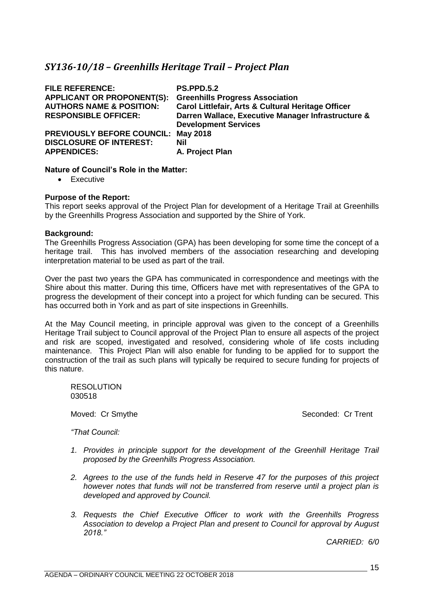# <span id="page-14-0"></span>*SY136-10/18 – Greenhills Heritage Trail – Project Plan*

| <b>FILE REFERENCE:</b><br><b>APPLICANT OR PROPONENT(S):</b><br><b>AUTHORS NAME &amp; POSITION:</b><br><b>RESPONSIBLE OFFICER:</b> | <b>PS.PPD.5.2</b><br><b>Greenhills Progress Association</b><br>Carol Littlefair, Arts & Cultural Heritage Officer<br>Darren Wallace, Executive Manager Infrastructure &<br><b>Development Services</b> |
|-----------------------------------------------------------------------------------------------------------------------------------|--------------------------------------------------------------------------------------------------------------------------------------------------------------------------------------------------------|
| <b>PREVIOUSLY BEFORE COUNCIL:</b>                                                                                                 | <b>May 2018</b>                                                                                                                                                                                        |
| <b>DISCLOSURE OF INTEREST:</b>                                                                                                    | Nil                                                                                                                                                                                                    |
| <b>APPENDICES:</b>                                                                                                                | A. Project Plan                                                                                                                                                                                        |

#### **Nature of Council's Role in the Matter:**

• Executive

### **Purpose of the Report:**

This report seeks approval of the Project Plan for development of a Heritage Trail at Greenhills by the Greenhills Progress Association and supported by the Shire of York.

### **Background:**

The Greenhills Progress Association (GPA) has been developing for some time the concept of a heritage trail. This has involved members of the association researching and developing interpretation material to be used as part of the trail.

Over the past two years the GPA has communicated in correspondence and meetings with the Shire about this matter. During this time, Officers have met with representatives of the GPA to progress the development of their concept into a project for which funding can be secured. This has occurred both in York and as part of site inspections in Greenhills.

At the May Council meeting, in principle approval was given to the concept of a Greenhills Heritage Trail subject to Council approval of the Project Plan to ensure all aspects of the project and risk are scoped, investigated and resolved, considering whole of life costs including maintenance. This Project Plan will also enable for funding to be applied for to support the construction of the trail as such plans will typically be required to secure funding for projects of this nature.

**RESOLUTION** 030518

Moved: Cr Smythe Seconded: Cr Trent

*"That Council:*

- *1. Provides in principle support for the development of the Greenhill Heritage Trail proposed by the Greenhills Progress Association.*
- *2. Agrees to the use of the funds held in Reserve 47 for the purposes of this project however notes that funds will not be transferred from reserve until a project plan is developed and approved by Council.*
- *3. Requests the Chief Executive Officer to work with the Greenhills Progress Association to develop a Project Plan and present to Council for approval by August 2018."*

*CARRIED: 6/0*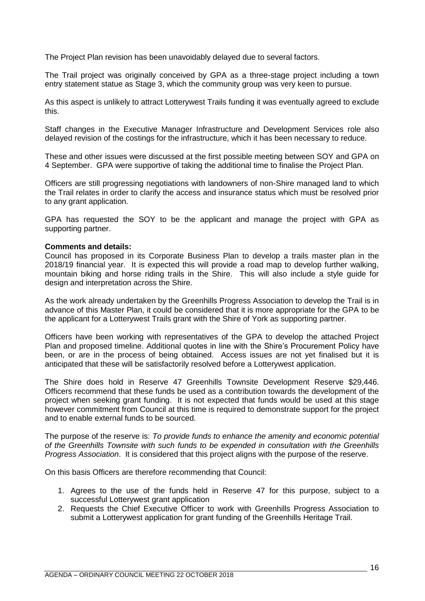The Project Plan revision has been unavoidably delayed due to several factors.

The Trail project was originally conceived by GPA as a three-stage project including a town entry statement statue as Stage 3, which the community group was very keen to pursue.

As this aspect is unlikely to attract Lotterywest Trails funding it was eventually agreed to exclude this.

Staff changes in the Executive Manager Infrastructure and Development Services role also delayed revision of the costings for the infrastructure, which it has been necessary to reduce.

These and other issues were discussed at the first possible meeting between SOY and GPA on 4 September. GPA were supportive of taking the additional time to finalise the Project Plan.

Officers are still progressing negotiations with landowners of non-Shire managed land to which the Trail relates in order to clarify the access and insurance status which must be resolved prior to any grant application.

GPA has requested the SOY to be the applicant and manage the project with GPA as supporting partner.

#### **Comments and details:**

Council has proposed in its Corporate Business Plan to develop a trails master plan in the 2018/19 financial year. It is expected this will provide a road map to develop further walking, mountain biking and horse riding trails in the Shire. This will also include a style guide for design and interpretation across the Shire.

As the work already undertaken by the Greenhills Progress Association to develop the Trail is in advance of this Master Plan, it could be considered that it is more appropriate for the GPA to be the applicant for a Lotterywest Trails grant with the Shire of York as supporting partner.

Officers have been working with representatives of the GPA to develop the attached Project Plan and proposed timeline. Additional quotes in line with the Shire's Procurement Policy have been, or are in the process of being obtained. Access issues are not yet finalised but it is anticipated that these will be satisfactorily resolved before a Lotterywest application.

The Shire does hold in Reserve 47 Greenhills Townsite Development Reserve \$29,446. Officers recommend that these funds be used as a contribution towards the development of the project when seeking grant funding. It is not expected that funds would be used at this stage however commitment from Council at this time is required to demonstrate support for the project and to enable external funds to be sourced.

The purpose of the reserve is: *To provide funds to enhance the amenity and economic potential of the Greenhills Townsite with such funds to be expended in consultation with the Greenhills Progress Association*. It is considered that this project aligns with the purpose of the reserve.

On this basis Officers are therefore recommending that Council:

- 1. Agrees to the use of the funds held in Reserve 47 for this purpose, subject to a successful Lotterywest grant application
- 2. Requests the Chief Executive Officer to work with Greenhills Progress Association to submit a Lotterywest application for grant funding of the Greenhills Heritage Trail.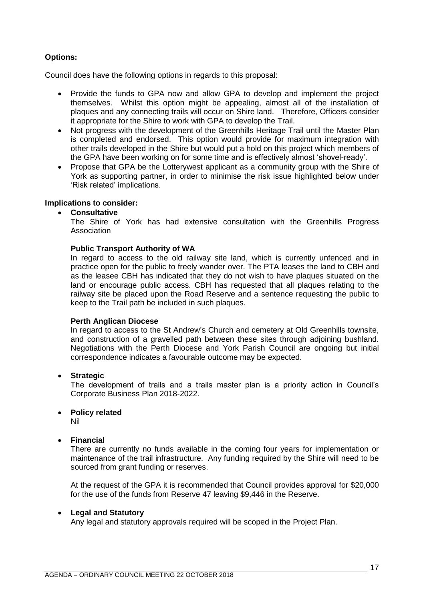### **Options:**

Council does have the following options in regards to this proposal:

- Provide the funds to GPA now and allow GPA to develop and implement the project themselves. Whilst this option might be appealing, almost all of the installation of plaques and any connecting trails will occur on Shire land. Therefore, Officers consider it appropriate for the Shire to work with GPA to develop the Trail.
- Not progress with the development of the Greenhills Heritage Trail until the Master Plan is completed and endorsed. This option would provide for maximum integration with other trails developed in the Shire but would put a hold on this project which members of the GPA have been working on for some time and is effectively almost 'shovel-ready'.
- Propose that GPA be the Lotterywest applicant as a community group with the Shire of York as supporting partner, in order to minimise the risk issue highlighted below under 'Risk related' implications.

### **Implications to consider:**

### • **Consultative**

The Shire of York has had extensive consultation with the Greenhills Progress Association

#### **Public Transport Authority of WA**

In regard to access to the old railway site land, which is currently unfenced and in practice open for the public to freely wander over. The PTA leases the land to CBH and as the leasee CBH has indicated that they do not wish to have plaques situated on the land or encourage public access. CBH has requested that all plaques relating to the railway site be placed upon the Road Reserve and a sentence requesting the public to keep to the Trail path be included in such plaques.

#### **Perth Anglican Diocese**

In regard to access to the St Andrew's Church and cemetery at Old Greenhills townsite, and construction of a gravelled path between these sites through adjoining bushland. Negotiations with the Perth Diocese and York Parish Council are ongoing but initial correspondence indicates a favourable outcome may be expected.

#### • **Strategic**

The development of trails and a trails master plan is a priority action in Council's Corporate Business Plan 2018-2022.

### • **Policy related**

Nil

### • **Financial**

There are currently no funds available in the coming four years for implementation or maintenance of the trail infrastructure. Any funding required by the Shire will need to be sourced from grant funding or reserves.

At the request of the GPA it is recommended that Council provides approval for \$20,000 for the use of the funds from Reserve 47 leaving \$9,446 in the Reserve.

#### • **Legal and Statutory**

Any legal and statutory approvals required will be scoped in the Project Plan.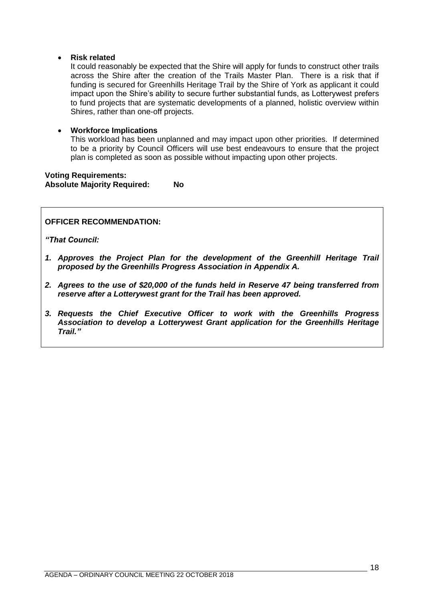### • **Risk related**

It could reasonably be expected that the Shire will apply for funds to construct other trails across the Shire after the creation of the Trails Master Plan. There is a risk that if funding is secured for Greenhills Heritage Trail by the Shire of York as applicant it could impact upon the Shire's ability to secure further substantial funds, as Lotterywest prefers to fund projects that are systematic developments of a planned, holistic overview within Shires, rather than one-off projects.

### • **Workforce Implications**

This workload has been unplanned and may impact upon other priorities. If determined to be a priority by Council Officers will use best endeavours to ensure that the project plan is completed as soon as possible without impacting upon other projects.

**Voting Requirements: Absolute Majority Required: No**

### **OFFICER RECOMMENDATION:**

*"That Council:*

- *1. Approves the Project Plan for the development of the Greenhill Heritage Trail proposed by the Greenhills Progress Association in Appendix A.*
- *2. Agrees to the use of \$20,000 of the funds held in Reserve 47 being transferred from reserve after a Lotterywest grant for the Trail has been approved.*
- *3. Requests the Chief Executive Officer to work with the Greenhills Progress Association to develop a Lotterywest Grant application for the Greenhills Heritage Trail."*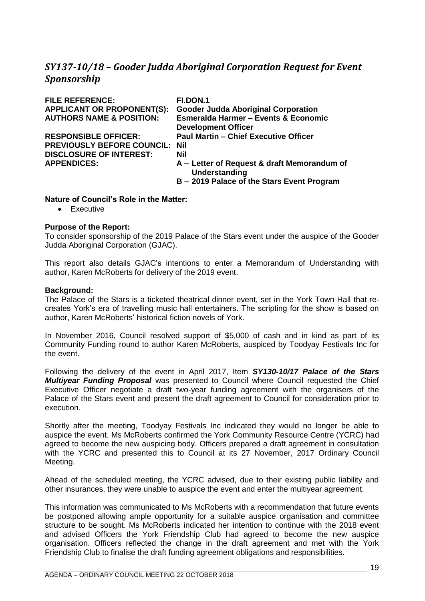# <span id="page-18-0"></span>*SY137-10/18 – Gooder Judda Aboriginal Corporation Request for Event Sponsorship*

| <b>FILE REFERENCE:</b>                | FI.DON.1                                                     |
|---------------------------------------|--------------------------------------------------------------|
| <b>APPLICANT OR PROPONENT(S):</b>     | <b>Gooder Judda Aboriginal Corporation</b>                   |
| <b>AUTHORS NAME &amp; POSITION:</b>   | <b>Esmeralda Harmer - Events &amp; Economic</b>              |
|                                       | <b>Development Officer</b>                                   |
| <b>RESPONSIBLE OFFICER:</b>           | <b>Paul Martin - Chief Executive Officer</b>                 |
| <b>PREVIOUSLY BEFORE COUNCIL: Nil</b> |                                                              |
| <b>DISCLOSURE OF INTEREST:</b>        | Nil                                                          |
| <b>APPENDICES:</b>                    | A - Letter of Request & draft Memorandum of<br>Understanding |
|                                       | B - 2019 Palace of the Stars Event Program                   |

### **Nature of Council's Role in the Matter:**

• Executive

#### **Purpose of the Report:**

To consider sponsorship of the 2019 Palace of the Stars event under the auspice of the Gooder Judda Aboriginal Corporation (GJAC).

This report also details GJAC's intentions to enter a Memorandum of Understanding with author, Karen McRoberts for delivery of the 2019 event.

#### **Background:**

The Palace of the Stars is a ticketed theatrical dinner event, set in the York Town Hall that recreates York's era of travelling music hall entertainers. The scripting for the show is based on author, Karen McRoberts' historical fiction novels of York.

In November 2016, Council resolved support of \$5,000 of cash and in kind as part of its Community Funding round to author Karen McRoberts, auspiced by Toodyay Festivals Inc for the event.

Following the delivery of the event in April 2017, Item *SY130-10/17 Palace of the Stars Multiyear Funding Proposal* was presented to Council where Council requested the Chief Executive Officer negotiate a draft two-year funding agreement with the organisers of the Palace of the Stars event and present the draft agreement to Council for consideration prior to execution.

Shortly after the meeting, Toodyay Festivals Inc indicated they would no longer be able to auspice the event. Ms McRoberts confirmed the York Community Resource Centre (YCRC) had agreed to become the new auspicing body. Officers prepared a draft agreement in consultation with the YCRC and presented this to Council at its 27 November, 2017 Ordinary Council Meeting.

Ahead of the scheduled meeting, the YCRC advised, due to their existing public liability and other insurances, they were unable to auspice the event and enter the multiyear agreement.

This information was communicated to Ms McRoberts with a recommendation that future events be postponed allowing ample opportunity for a suitable auspice organisation and committee structure to be sought. Ms McRoberts indicated her intention to continue with the 2018 event and advised Officers the York Friendship Club had agreed to become the new auspice organisation. Officers reflected the change in the draft agreement and met with the York Friendship Club to finalise the draft funding agreement obligations and responsibilities.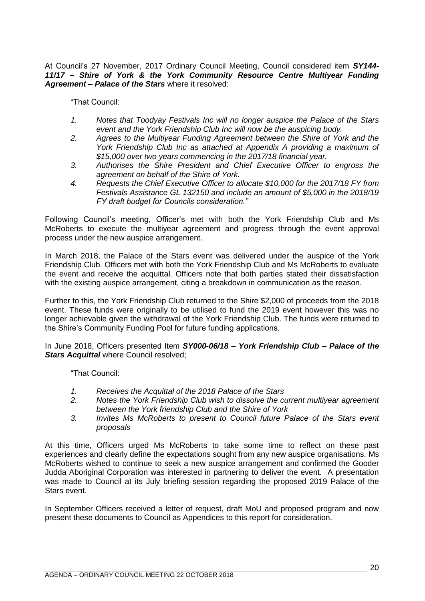At Council's 27 November, 2017 Ordinary Council Meeting, Council considered item *SY144- 11/17 – Shire of York & the York Community Resource Centre Multiyear Funding Agreement – Palace of the Stars* where it resolved:

"That Council:

- *1. Notes that Toodyay Festivals Inc will no longer auspice the Palace of the Stars event and the York Friendship Club Inc will now be the auspicing body.*
- *2. Agrees to the Multiyear Funding Agreement between the Shire of York and the York Friendship Club Inc as attached at Appendix A providing a maximum of \$15,000 over two years commencing in the 2017/18 financial year.*
- *3. Authorises the Shire President and Chief Executive Officer to engross the agreement on behalf of the Shire of York.*
- *4. Requests the Chief Executive Officer to allocate \$10,000 for the 2017/18 FY from Festivals Assistance GL 132150 and include an amount of \$5,000 in the 2018/19 FY draft budget for Councils consideration."*

Following Council's meeting, Officer's met with both the York Friendship Club and Ms McRoberts to execute the multiyear agreement and progress through the event approval process under the new auspice arrangement.

In March 2018, the Palace of the Stars event was delivered under the auspice of the York Friendship Club. Officers met with both the York Friendship Club and Ms McRoberts to evaluate the event and receive the acquittal. Officers note that both parties stated their dissatisfaction with the existing auspice arrangement, citing a breakdown in communication as the reason.

Further to this, the York Friendship Club returned to the Shire \$2,000 of proceeds from the 2018 event. These funds were originally to be utilised to fund the 2019 event however this was no longer achievable given the withdrawal of the York Friendship Club. The funds were returned to the Shire's Community Funding Pool for future funding applications.

In June 2018, Officers presented Item *SY000-06/18 – York Friendship Club – Palace of the*  **Stars Acquittal** where Council resolved;

"That Council:

- *1. Receives the Acquittal of the 2018 Palace of the Stars*
- *2. Notes the York Friendship Club wish to dissolve the current multiyear agreement between the York friendship Club and the Shire of York*
- *3. Invites Ms McRoberts to present to Council future Palace of the Stars event proposals*

At this time, Officers urged Ms McRoberts to take some time to reflect on these past experiences and clearly define the expectations sought from any new auspice organisations. Ms McRoberts wished to continue to seek a new auspice arrangement and confirmed the Gooder Judda Aboriginal Corporation was interested in partnering to deliver the event. A presentation was made to Council at its July briefing session regarding the proposed 2019 Palace of the Stars event.

In September Officers received a letter of request, draft MoU and proposed program and now present these documents to Council as Appendices to this report for consideration.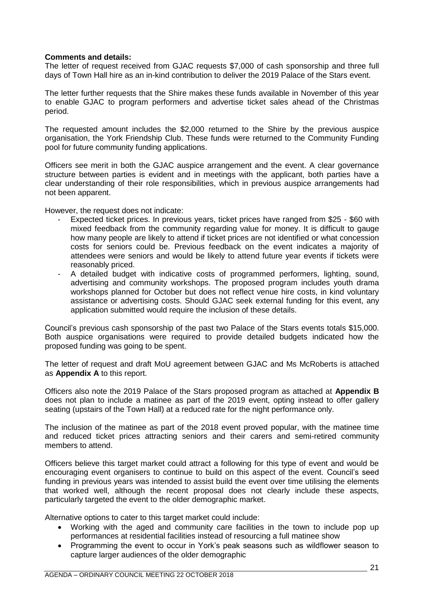### **Comments and details:**

The letter of request received from GJAC requests \$7,000 of cash sponsorship and three full days of Town Hall hire as an in-kind contribution to deliver the 2019 Palace of the Stars event.

The letter further requests that the Shire makes these funds available in November of this year to enable GJAC to program performers and advertise ticket sales ahead of the Christmas period.

The requested amount includes the \$2,000 returned to the Shire by the previous auspice organisation, the York Friendship Club. These funds were returned to the Community Funding pool for future community funding applications.

Officers see merit in both the GJAC auspice arrangement and the event. A clear governance structure between parties is evident and in meetings with the applicant, both parties have a clear understanding of their role responsibilities, which in previous auspice arrangements had not been apparent.

However, the request does not indicate:

- Expected ticket prices. In previous years, ticket prices have ranged from \$25 \$60 with mixed feedback from the community regarding value for money. It is difficult to gauge how many people are likely to attend if ticket prices are not identified or what concession costs for seniors could be. Previous feedback on the event indicates a majority of attendees were seniors and would be likely to attend future year events if tickets were reasonably priced.
- A detailed budget with indicative costs of programmed performers, lighting, sound, advertising and community workshops. The proposed program includes youth drama workshops planned for October but does not reflect venue hire costs, in kind voluntary assistance or advertising costs. Should GJAC seek external funding for this event, any application submitted would require the inclusion of these details.

Council's previous cash sponsorship of the past two Palace of the Stars events totals \$15,000. Both auspice organisations were required to provide detailed budgets indicated how the proposed funding was going to be spent.

The letter of request and draft MoU agreement between GJAC and Ms McRoberts is attached as **Appendix A** to this report.

Officers also note the 2019 Palace of the Stars proposed program as attached at **Appendix B** does not plan to include a matinee as part of the 2019 event, opting instead to offer gallery seating (upstairs of the Town Hall) at a reduced rate for the night performance only.

The inclusion of the matinee as part of the 2018 event proved popular, with the matinee time and reduced ticket prices attracting seniors and their carers and semi-retired community members to attend.

Officers believe this target market could attract a following for this type of event and would be encouraging event organisers to continue to build on this aspect of the event. Council's seed funding in previous years was intended to assist build the event over time utilising the elements that worked well, although the recent proposal does not clearly include these aspects, particularly targeted the event to the older demographic market.

Alternative options to cater to this target market could include:

- Working with the aged and community care facilities in the town to include pop up performances at residential facilities instead of resourcing a full matinee show
- Programming the event to occur in York's peak seasons such as wildflower season to capture larger audiences of the older demographic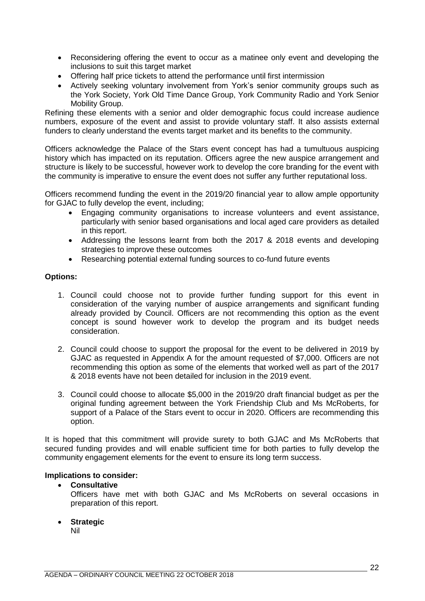- Reconsidering offering the event to occur as a matinee only event and developing the inclusions to suit this target market
- Offering half price tickets to attend the performance until first intermission
- Actively seeking voluntary involvement from York's senior community groups such as the York Society, York Old Time Dance Group, York Community Radio and York Senior Mobility Group.

Refining these elements with a senior and older demographic focus could increase audience numbers, exposure of the event and assist to provide voluntary staff. It also assists external funders to clearly understand the events target market and its benefits to the community.

Officers acknowledge the Palace of the Stars event concept has had a tumultuous auspicing history which has impacted on its reputation. Officers agree the new auspice arrangement and structure is likely to be successful, however work to develop the core branding for the event with the community is imperative to ensure the event does not suffer any further reputational loss.

Officers recommend funding the event in the 2019/20 financial year to allow ample opportunity for GJAC to fully develop the event, including;

- Engaging community organisations to increase volunteers and event assistance, particularly with senior based organisations and local aged care providers as detailed in this report.
- Addressing the lessons learnt from both the 2017 & 2018 events and developing strategies to improve these outcomes
- Researching potential external funding sources to co-fund future events

### **Options:**

- 1. Council could choose not to provide further funding support for this event in consideration of the varying number of auspice arrangements and significant funding already provided by Council. Officers are not recommending this option as the event concept is sound however work to develop the program and its budget needs consideration.
- 2. Council could choose to support the proposal for the event to be delivered in 2019 by GJAC as requested in Appendix A for the amount requested of \$7,000. Officers are not recommending this option as some of the elements that worked well as part of the 2017 & 2018 events have not been detailed for inclusion in the 2019 event.
- 3. Council could choose to allocate \$5,000 in the 2019/20 draft financial budget as per the original funding agreement between the York Friendship Club and Ms McRoberts, for support of a Palace of the Stars event to occur in 2020. Officers are recommending this option.

It is hoped that this commitment will provide surety to both GJAC and Ms McRoberts that secured funding provides and will enable sufficient time for both parties to fully develop the community engagement elements for the event to ensure its long term success.

### **Implications to consider:**

• **Consultative**

Officers have met with both GJAC and Ms McRoberts on several occasions in preparation of this report.

• **Strategic**

Nil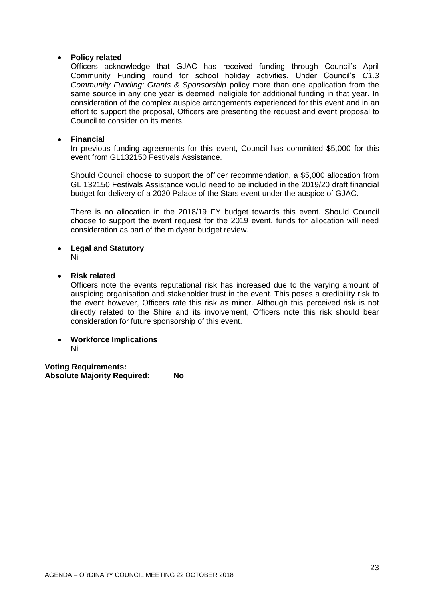### • **Policy related**

Officers acknowledge that GJAC has received funding through Council's April Community Funding round for school holiday activities. Under Council's *C1.3 Community Funding: Grants & Sponsorship* policy more than one application from the same source in any one year is deemed ineligible for additional funding in that year. In consideration of the complex auspice arrangements experienced for this event and in an effort to support the proposal, Officers are presenting the request and event proposal to Council to consider on its merits.

### • **Financial**

In previous funding agreements for this event, Council has committed \$5,000 for this event from GL132150 Festivals Assistance.

Should Council choose to support the officer recommendation, a \$5,000 allocation from GL 132150 Festivals Assistance would need to be included in the 2019/20 draft financial budget for delivery of a 2020 Palace of the Stars event under the auspice of GJAC.

There is no allocation in the 2018/19 FY budget towards this event. Should Council choose to support the event request for the 2019 event, funds for allocation will need consideration as part of the midyear budget review.

### • **Legal and Statutory**

Nil

### • **Risk related**

Officers note the events reputational risk has increased due to the varying amount of auspicing organisation and stakeholder trust in the event. This poses a credibility risk to the event however, Officers rate this risk as minor. Although this perceived risk is not directly related to the Shire and its involvement, Officers note this risk should bear consideration for future sponsorship of this event.

# • **Workforce Implications**

Nil

**Voting Requirements: Absolute Majority Required: No**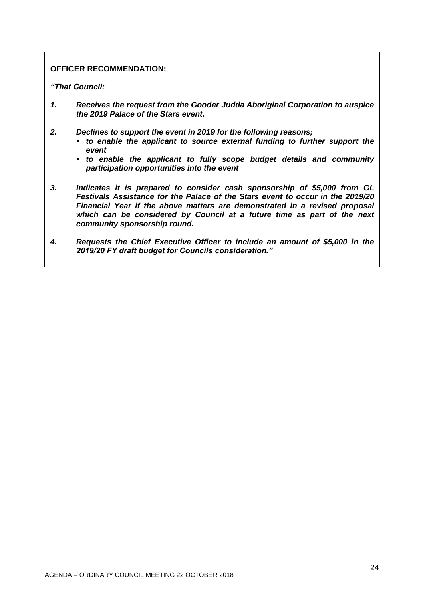### **OFFICER RECOMMENDATION:**

### *"That Council:*

- *1. Receives the request from the Gooder Judda Aboriginal Corporation to auspice the 2019 Palace of the Stars event.*
- *2. Declines to support the event in 2019 for the following reasons;*
	- *• to enable the applicant to source external funding to further support the event*
	- *• to enable the applicant to fully scope budget details and community participation opportunities into the event*
- *3. Indicates it is prepared to consider cash sponsorship of \$5,000 from GL Festivals Assistance for the Palace of the Stars event to occur in the 2019/20 Financial Year if the above matters are demonstrated in a revised proposal*  which can be considered by Council at a future time as part of the next *community sponsorship round.*
- *4. Requests the Chief Executive Officer to include an amount of \$5,000 in the 2019/20 FY draft budget for Councils consideration."*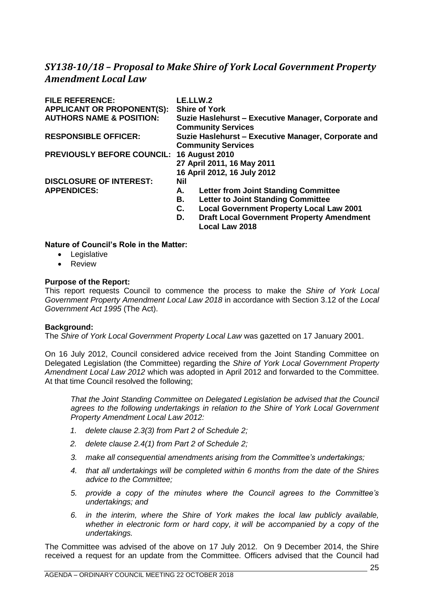# <span id="page-24-0"></span>*SY138-10/18 – Proposal to Make Shire of York Local Government Property Amendment Local Law*

| <b>FILE REFERENCE:</b>                    | LE.LLW.2                                                                         |
|-------------------------------------------|----------------------------------------------------------------------------------|
| <b>APPLICANT OR PROPONENT(S):</b>         | <b>Shire of York</b>                                                             |
| <b>AUTHORS NAME &amp; POSITION:</b>       | Suzie Haslehurst – Executive Manager, Corporate and<br><b>Community Services</b> |
| <b>RESPONSIBLE OFFICER:</b>               | Suzie Haslehurst - Executive Manager, Corporate and                              |
|                                           | <b>Community Services</b>                                                        |
| PREVIOUSLY BEFORE COUNCIL: 16 August 2010 |                                                                                  |
|                                           | 27 April 2011, 16 May 2011                                                       |
|                                           | 16 April 2012, 16 July 2012                                                      |
| <b>DISCLOSURE OF INTEREST:</b>            | Nil                                                                              |
| <b>APPENDICES:</b>                        | <b>Letter from Joint Standing Committee</b><br>А.                                |
|                                           | <b>Letter to Joint Standing Committee</b><br>В.                                  |
|                                           | <b>Local Government Property Local Law 2001</b><br>C.                            |
|                                           | <b>Draft Local Government Property Amendment</b><br>D.<br><b>Local Law 2018</b>  |

### **Nature of Council's Role in the Matter:**

- Legislative
- Review

### **Purpose of the Report:**

This report requests Council to commence the process to make the *Shire of York Local Government Property Amendment Local Law 2018* in accordance with Section 3.12 of the *Local Government Act 1995* (The Act).

#### **Background:**

The *Shire of York Local Government Property Local Law* was gazetted on 17 January 2001.

On 16 July 2012, Council considered advice received from the Joint Standing Committee on Delegated Legislation (the Committee) regarding the *Shire of York Local Government Property Amendment Local Law 2012* which was adopted in April 2012 and forwarded to the Committee. At that time Council resolved the following;

*That the Joint Standing Committee on Delegated Legislation be advised that the Council agrees to the following undertakings in relation to the Shire of York Local Government Property Amendment Local Law 2012:*

- *1. delete clause 2.3(3) from Part 2 of Schedule 2;*
- *2. delete clause 2.4(1) from Part 2 of Schedule 2;*
- *3. make all consequential amendments arising from the Committee's undertakings;*
- *4. that all undertakings will be completed within 6 months from the date of the Shires advice to the Committee;*
- *5. provide a copy of the minutes where the Council agrees to the Committee's undertakings; and*
- *6. in the interim, where the Shire of York makes the local law publicly available, whether in electronic form or hard copy, it will be accompanied by a copy of the undertakings.*

The Committee was advised of the above on 17 July 2012. On 9 December 2014, the Shire received a request for an update from the Committee. Officers advised that the Council had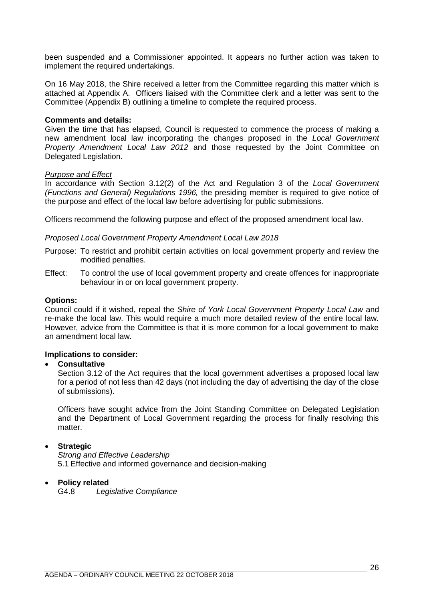been suspended and a Commissioner appointed. It appears no further action was taken to implement the required undertakings.

On 16 May 2018, the Shire received a letter from the Committee regarding this matter which is attached at Appendix A. Officers liaised with the Committee clerk and a letter was sent to the Committee (Appendix B) outlining a timeline to complete the required process.

#### **Comments and details:**

Given the time that has elapsed, Council is requested to commence the process of making a new amendment local law incorporating the changes proposed in the *Local Government Property Amendment Local Law 2012* and those requested by the Joint Committee on Delegated Legislation.

#### *Purpose and Effect*

In accordance with Section 3.12(2) of the Act and Regulation 3 of the *Local Government (Functions and General) Regulations 1996,* the presiding member is required to give notice of the purpose and effect of the local law before advertising for public submissions.

Officers recommend the following purpose and effect of the proposed amendment local law.

### *Proposed Local Government Property Amendment Local Law 2018*

- Purpose: To restrict and prohibit certain activities on local government property and review the modified penalties.
- Effect: To control the use of local government property and create offences for inappropriate behaviour in or on local government property.

### **Options:**

Council could if it wished, repeal the *Shire of York Local Government Property Local Law* and re-make the local law. This would require a much more detailed review of the entire local law. However, advice from the Committee is that it is more common for a local government to make an amendment local law.

#### **Implications to consider:**

#### • **Consultative**

Section 3.12 of the Act requires that the local government advertises a proposed local law for a period of not less than 42 days (not including the day of advertising the day of the close of submissions).

Officers have sought advice from the Joint Standing Committee on Delegated Legislation and the Department of Local Government regarding the process for finally resolving this matter.

### • **Strategic**

*Strong and Effective Leadership* 5.1 Effective and informed governance and decision-making

### • **Policy related**

G4.8 *Legislative Compliance*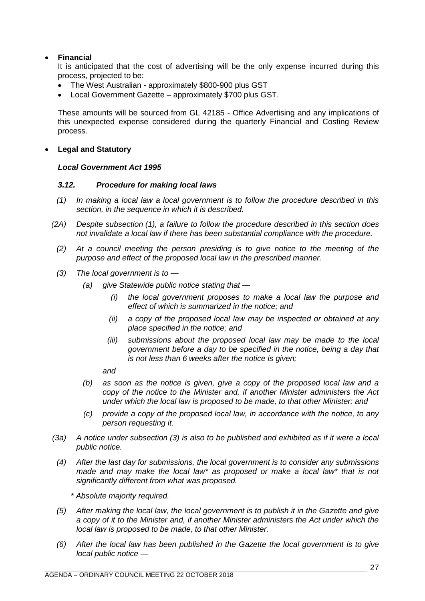### • **Financial**

It is anticipated that the cost of advertising will be the only expense incurred during this process, projected to be:

- The West Australian approximately \$800-900 plus GST
- Local Government Gazette approximately \$700 plus GST.

These amounts will be sourced from GL 42185 - Office Advertising and any implications of this unexpected expense considered during the quarterly Financial and Costing Review process.

### • **Legal and Statutory**

### *Local Government Act 1995*

### *3.12. Procedure for making local laws*

- *(1) In making a local law a local government is to follow the procedure described in this section, in the sequence in which it is described.*
- *(2A) Despite subsection (1), a failure to follow the procedure described in this section does not invalidate a local law if there has been substantial compliance with the procedure.*
	- *(2) At a council meeting the person presiding is to give notice to the meeting of the purpose and effect of the proposed local law in the prescribed manner.*
	- *(3) The local government is to —*
		- *(a) give Statewide public notice stating that —*
			- *(i) the local government proposes to make a local law the purpose and effect of which is summarized in the notice; and*
			- *(ii) a copy of the proposed local law may be inspected or obtained at any place specified in the notice; and*
			- *(iii) submissions about the proposed local law may be made to the local government before a day to be specified in the notice, being a day that is not less than 6 weeks after the notice is given;*

*and*

- *(b) as soon as the notice is given, give a copy of the proposed local law and a copy of the notice to the Minister and, if another Minister administers the Act under which the local law is proposed to be made, to that other Minister; and*
- *(c) provide a copy of the proposed local law, in accordance with the notice, to any person requesting it.*
- *(3a) A notice under subsection (3) is also to be published and exhibited as if it were a local public notice.*
- *(4) After the last day for submissions, the local government is to consider any submissions made and may make the local law\* as proposed or make a local law\* that is not significantly different from what was proposed.*

*\* Absolute majority required.*

- *(5) After making the local law, the local government is to publish it in the Gazette and give a copy of it to the Minister and, if another Minister administers the Act under which the local law is proposed to be made, to that other Minister.*
- *(6) After the local law has been published in the Gazette the local government is to give local public notice —*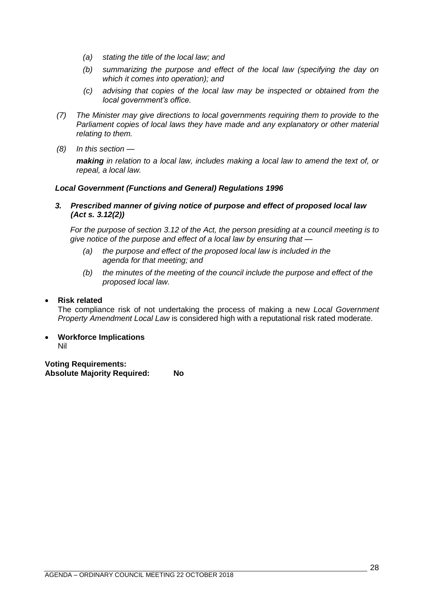- *(a) stating the title of the local law; and*
- *(b) summarizing the purpose and effect of the local law (specifying the day on which it comes into operation); and*
- *(c) advising that copies of the local law may be inspected or obtained from the local government's office.*
- *(7) The Minister may give directions to local governments requiring them to provide to the Parliament copies of local laws they have made and any explanatory or other material relating to them.*
- *(8) In this section —*

*making in relation to a local law, includes making a local law to amend the text of, or repeal, a local law.*

### *Local Government (Functions and General) Regulations 1996*

*3. Prescribed manner of giving notice of purpose and effect of proposed local law (Act s. 3.12(2))*

*For the purpose of section 3.12 of the Act, the person presiding at a council meeting is to give notice of the purpose and effect of a local law by ensuring that —*

- *(a) the purpose and effect of the proposed local law is included in the agenda for that meeting; and*
- *(b) the minutes of the meeting of the council include the purpose and effect of the proposed local law.*

### • **Risk related**

The compliance risk of not undertaking the process of making a new *Local Government Property Amendment Local Law* is considered high with a reputational risk rated moderate.

• **Workforce Implications** Nil

**Voting Requirements: Absolute Majority Required: No**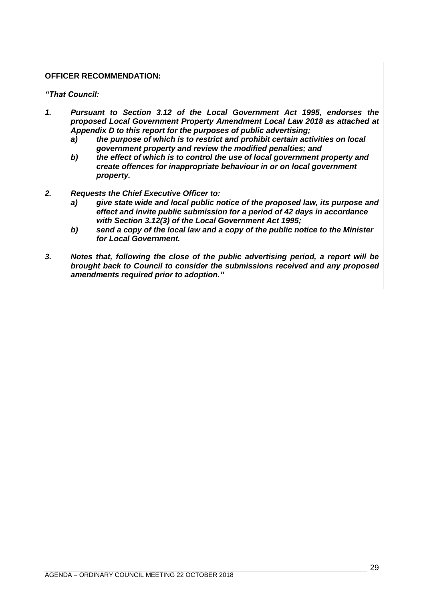### **OFFICER RECOMMENDATION:**

*"That Council:*

- *1. Pursuant to Section 3.12 of the Local Government Act 1995, endorses the proposed Local Government Property Amendment Local Law 2018 as attached at Appendix D to this report for the purposes of public advertising;*
	- *a) the purpose of which is to restrict and prohibit certain activities on local government property and review the modified penalties; and*
	- *b) the effect of which is to control the use of local government property and create offences for inappropriate behaviour in or on local government property.*
- *2. Requests the Chief Executive Officer to:*
	- *a) give state wide and local public notice of the proposed law, its purpose and effect and invite public submission for a period of 42 days in accordance with Section 3.12(3) of the Local Government Act 1995;*
	- *b) send a copy of the local law and a copy of the public notice to the Minister for Local Government.*
- *3. Notes that, following the close of the public advertising period, a report will be brought back to Council to consider the submissions received and any proposed amendments required prior to adoption."*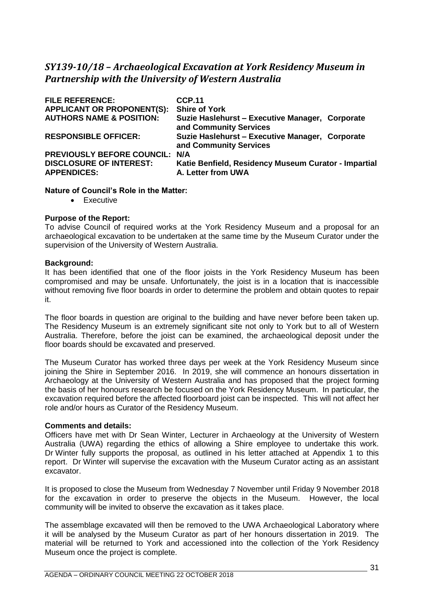# <span id="page-30-0"></span>*SY139-10/18 – Archaeological Excavation at York Residency Museum in Partnership with the University of Western Australia*

| <b>FILE REFERENCE:</b>              | <b>CCP.11</b>                                                             |
|-------------------------------------|---------------------------------------------------------------------------|
| <b>APPLICANT OR PROPONENT(S):</b>   | <b>Shire of York</b>                                                      |
| <b>AUTHORS NAME &amp; POSITION:</b> | Suzie Haslehurst - Executive Manager, Corporate<br>and Community Services |
| <b>RESPONSIBLE OFFICER:</b>         | Suzie Haslehurst - Executive Manager, Corporate<br>and Community Services |
| <b>PREVIOUSLY BEFORE COUNCIL:</b>   | N/A                                                                       |
| <b>DISCLOSURE OF INTEREST:</b>      | Katie Benfield, Residency Museum Curator - Impartial                      |
| <b>APPENDICES:</b>                  | A. Letter from UWA                                                        |

### **Nature of Council's Role in the Matter:**

• Executive

### **Purpose of the Report:**

To advise Council of required works at the York Residency Museum and a proposal for an archaeological excavation to be undertaken at the same time by the Museum Curator under the supervision of the University of Western Australia.

#### **Background:**

It has been identified that one of the floor joists in the York Residency Museum has been compromised and may be unsafe. Unfortunately, the joist is in a location that is inaccessible without removing five floor boards in order to determine the problem and obtain quotes to repair it.

The floor boards in question are original to the building and have never before been taken up. The Residency Museum is an extremely significant site not only to York but to all of Western Australia. Therefore, before the joist can be examined, the archaeological deposit under the floor boards should be excavated and preserved.

The Museum Curator has worked three days per week at the York Residency Museum since joining the Shire in September 2016. In 2019, she will commence an honours dissertation in Archaeology at the University of Western Australia and has proposed that the project forming the basis of her honours research be focused on the York Residency Museum. In particular, the excavation required before the affected floorboard joist can be inspected. This will not affect her role and/or hours as Curator of the Residency Museum.

### **Comments and details:**

Officers have met with Dr Sean Winter, Lecturer in Archaeology at the University of Western Australia (UWA) regarding the ethics of allowing a Shire employee to undertake this work. Dr Winter fully supports the proposal, as outlined in his letter attached at Appendix 1 to this report. Dr Winter will supervise the excavation with the Museum Curator acting as an assistant excavator.

It is proposed to close the Museum from Wednesday 7 November until Friday 9 November 2018 for the excavation in order to preserve the objects in the Museum. However, the local community will be invited to observe the excavation as it takes place.

The assemblage excavated will then be removed to the UWA Archaeological Laboratory where it will be analysed by the Museum Curator as part of her honours dissertation in 2019. The material will be returned to York and accessioned into the collection of the York Residency Museum once the project is complete.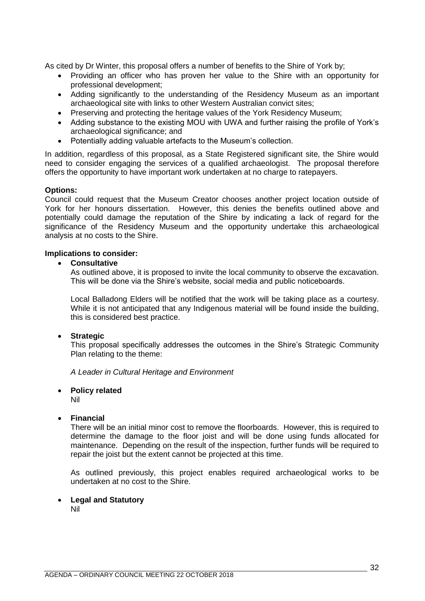As cited by Dr Winter, this proposal offers a number of benefits to the Shire of York by;

- Providing an officer who has proven her value to the Shire with an opportunity for professional development;
- Adding significantly to the understanding of the Residency Museum as an important archaeological site with links to other Western Australian convict sites;
- Preserving and protecting the heritage values of the York Residency Museum;
- Adding substance to the existing MOU with UWA and further raising the profile of York's archaeological significance; and
- Potentially adding valuable artefacts to the Museum's collection.

In addition, regardless of this proposal, as a State Registered significant site, the Shire would need to consider engaging the services of a qualified archaeologist. The proposal therefore offers the opportunity to have important work undertaken at no charge to ratepayers.

### **Options:**

Council could request that the Museum Creator chooses another project location outside of York for her honours dissertation. However, this denies the benefits outlined above and potentially could damage the reputation of the Shire by indicating a lack of regard for the significance of the Residency Museum and the opportunity undertake this archaeological analysis at no costs to the Shire.

### **Implications to consider:**

### • **Consultative**

As outlined above, it is proposed to invite the local community to observe the excavation. This will be done via the Shire's website, social media and public noticeboards.

Local Balladong Elders will be notified that the work will be taking place as a courtesy. While it is not anticipated that any Indigenous material will be found inside the building. this is considered best practice.

### • **Strategic**

This proposal specifically addresses the outcomes in the Shire's Strategic Community Plan relating to the theme:

*A Leader in Cultural Heritage and Environment*

• **Policy related**

Nil

### • **Financial**

There will be an initial minor cost to remove the floorboards. However, this is required to determine the damage to the floor joist and will be done using funds allocated for maintenance. Depending on the result of the inspection, further funds will be required to repair the joist but the extent cannot be projected at this time.

As outlined previously, this project enables required archaeological works to be undertaken at no cost to the Shire.

• **Legal and Statutory**

Nil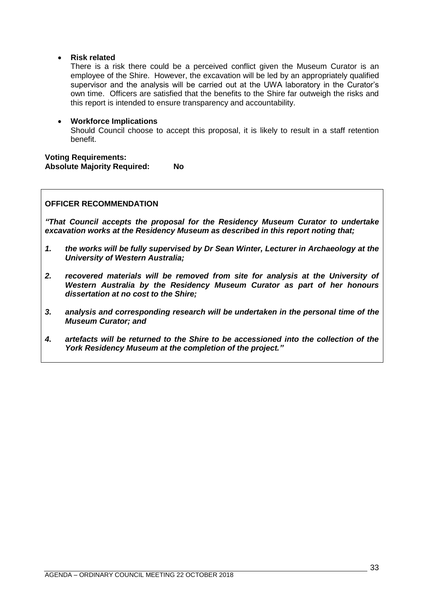### • **Risk related**

There is a risk there could be a perceived conflict given the Museum Curator is an employee of the Shire. However, the excavation will be led by an appropriately qualified supervisor and the analysis will be carried out at the UWA laboratory in the Curator's own time. Officers are satisfied that the benefits to the Shire far outweigh the risks and this report is intended to ensure transparency and accountability.

### • **Workforce Implications** Should Council choose to accept this proposal, it is likely to result in a staff retention benefit.

### **Voting Requirements: Absolute Majority Required: No**

### **OFFICER RECOMMENDATION**

*"That Council accepts the proposal for the Residency Museum Curator to undertake excavation works at the Residency Museum as described in this report noting that;*

- *1. the works will be fully supervised by Dr Sean Winter, Lecturer in Archaeology at the University of Western Australia;*
- *2. recovered materials will be removed from site for analysis at the University of Western Australia by the Residency Museum Curator as part of her honours dissertation at no cost to the Shire;*
- *3. analysis and corresponding research will be undertaken in the personal time of the Museum Curator; and*
- *4. artefacts will be returned to the Shire to be accessioned into the collection of the York Residency Museum at the completion of the project."*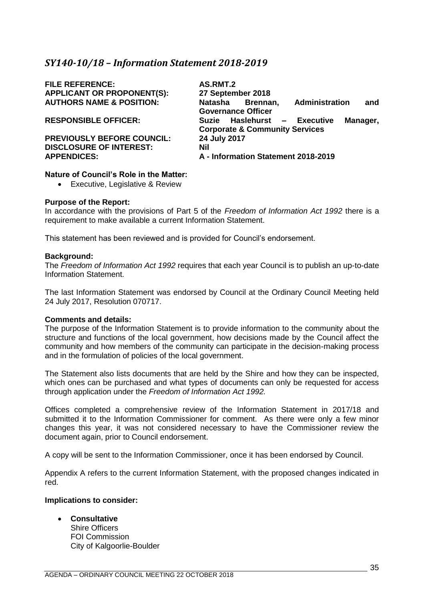## <span id="page-34-0"></span>*SY140-10/18 – Information Statement 2018-2019*

**FILE REFERENCE: AS.RMT.2 APPLICANT OR PROPONENT(S): 27 September 2018**

**PREVIOUSLY BEFORE COUNCIL: 24 July 2017 DISCLOSURE OF INTEREST: Nil**

**AUTHORS NAME & POSITION: Natasha Brennan, Administration and Governance Officer RESPONSIBLE OFFICER: Suzie Haslehurst – Executive Manager, Corporate & Community Services APPENDICES: A - Information Statement 2018-2019**

#### **Nature of Council's Role in the Matter:**

• Executive, Legislative & Review

#### **Purpose of the Report:**

In accordance with the provisions of Part 5 of the *Freedom of Information Act 1992* there is a requirement to make available a current Information Statement.

This statement has been reviewed and is provided for Council's endorsement.

#### **Background:**

The *Freedom of Information Act 1992* requires that each year Council is to publish an up-to-date Information Statement.

The last Information Statement was endorsed by Council at the Ordinary Council Meeting held 24 July 2017, Resolution 070717.

#### **Comments and details:**

The purpose of the Information Statement is to provide information to the community about the structure and functions of the local government, how decisions made by the Council affect the community and how members of the community can participate in the decision-making process and in the formulation of policies of the local government.

The Statement also lists documents that are held by the Shire and how they can be inspected, which ones can be purchased and what types of documents can only be requested for access through application under the *Freedom of Information Act 1992.*

Offices completed a comprehensive review of the Information Statement in 2017/18 and submitted it to the Information Commissioner for comment. As there were only a few minor changes this year, it was not considered necessary to have the Commissioner review the document again, prior to Council endorsement.

A copy will be sent to the Information Commissioner, once it has been endorsed by Council.

Appendix A refers to the current Information Statement, with the proposed changes indicated in red.

#### **Implications to consider:**

• **Consultative** Shire Officers FOI Commission City of Kalgoorlie-Boulder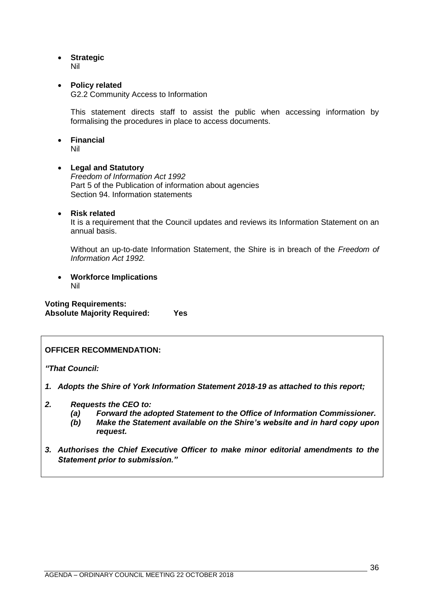• **Strategic**

Nil

### • **Policy related**

G2.2 Community Access to Information

This statement directs staff to assist the public when accessing information by formalising the procedures in place to access documents.

• **Financial**

Nil

### • **Legal and Statutory**

*Freedom of Information Act 1992* Part 5 of the Publication of information about agencies Section 94. Information statements

### • **Risk related**

It is a requirement that the Council updates and reviews its Information Statement on an annual basis.

Without an up-to-date Information Statement, the Shire is in breach of the *Freedom of Information Act 1992.*

• **Workforce Implications** Nil

**Voting Requirements: Absolute Majority Required: Yes**

### **OFFICER RECOMMENDATION:**

*"That Council:*

- *1. Adopts the Shire of York Information Statement 2018-19 as attached to this report;*
- *2. Requests the CEO to:*
	- *(a) Forward the adopted Statement to the Office of Information Commissioner.*
	- *(b) Make the Statement available on the Shire's website and in hard copy upon request.*
- *3. Authorises the Chief Executive Officer to make minor editorial amendments to the Statement prior to submission."*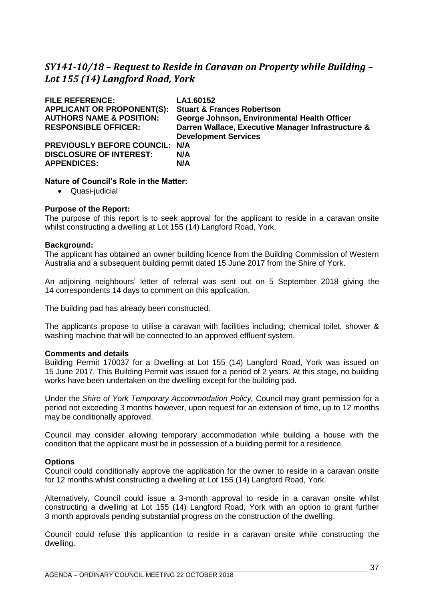# <span id="page-36-0"></span>*SY141-10/18 – Request to Reside in Caravan on Property while Building – Lot 155 (14) Langford Road, York*

| <b>FILE REFERENCE:</b><br><b>APPLICANT OR PROPONENT(S):</b><br><b>AUTHORS NAME &amp; POSITION:</b><br><b>RESPONSIBLE OFFICER:</b> | LA1.60152<br><b>Stuart &amp; Frances Robertson</b><br>George Johnson, Environmental Health Officer<br>Darren Wallace, Executive Manager Infrastructure &<br><b>Development Services</b> |
|-----------------------------------------------------------------------------------------------------------------------------------|-----------------------------------------------------------------------------------------------------------------------------------------------------------------------------------------|
| PREVIOUSLY BEFORE COUNCIL: N/A<br><b>DISCLOSURE OF INTEREST:</b><br><b>APPENDICES:</b>                                            | N/A<br>N/A                                                                                                                                                                              |

### **Nature of Council's Role in the Matter:**

• Quasi-judicial

### **Purpose of the Report:**

The purpose of this report is to seek approval for the applicant to reside in a caravan onsite whilst constructing a dwelling at Lot 155 (14) Langford Road, York.

#### **Background:**

The applicant has obtained an owner building licence from the Building Commission of Western Australia and a subsequent building permit dated 15 June 2017 from the Shire of York.

An adjoining neighbours' letter of referral was sent out on 5 September 2018 giving the 14 correspondents 14 days to comment on this application.

The building pad has already been constructed.

The applicants propose to utilise a caravan with facilities including; chemical toilet, shower & washing machine that will be connected to an approved effluent system.

#### **Comments and details**

Building Permit 170037 for a Dwelling at Lot 155 (14) Langford Road, York was issued on 15 June 2017. This Building Permit was issued for a period of 2 years. At this stage, no building works have been undertaken on the dwelling except for the building pad.

Under the *Shire of York Temporary Accommodation Policy,* Council may grant permission for a period not exceeding 3 months however, upon request for an extension of time, up to 12 months may be conditionally approved.

Council may consider allowing temporary accommodation while building a house with the condition that the applicant must be in possession of a building permit for a residence.

#### **Options**

Council could conditionally approve the application for the owner to reside in a caravan onsite for 12 months whilst constructing a dwelling at Lot 155 (14) Langford Road, York.

Alternatively, Council could issue a 3-month approval to reside in a caravan onsite whilst constructing a dwelling at Lot 155 (14) Langford Road, York with an option to grant further 3 month approvals pending substantial progress on the construction of the dwelling.

Council could refuse this applicantion to reside in a caravan onsite while constructing the dwelling.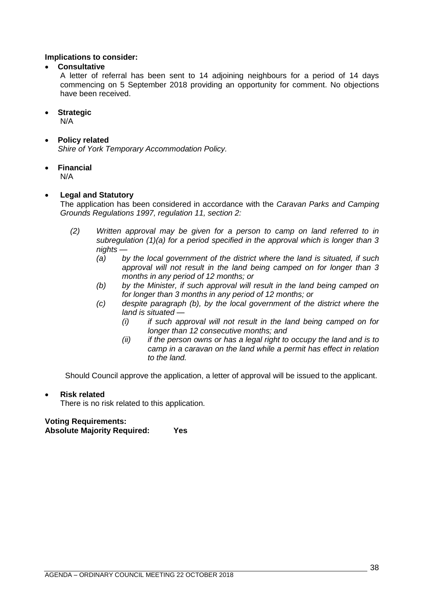### **Implications to consider:**

### • **Consultative**

A letter of referral has been sent to 14 adjoining neighbours for a period of 14 days commencing on 5 September 2018 providing an opportunity for comment. No objections have been received.

### • **Strategic**

N/A

- **Policy related** *Shire of York Temporary Accommodation Policy.*
- **Financial**

N/A

### • **Legal and Statutory**

The application has been considered in accordance with the *Caravan Parks and Camping Grounds Regulations 1997, regulation 11, section 2:*

- *(2) Written approval may be given for a person to camp on land referred to in subregulation (1)(a) for a period specified in the approval which is longer than 3 nights —*
	- *(a) by the local government of the district where the land is situated, if such approval will not result in the land being camped on for longer than 3 months in any period of 12 months; or*
	- *(b) by the Minister, if such approval will result in the land being camped on for longer than 3 months in any period of 12 months; or*
	- *(c) despite paragraph (b), by the local government of the district where the land is situated —*
		- *(i) if such approval will not result in the land being camped on for longer than 12 consecutive months; and*
		- *(ii) if the person owns or has a legal right to occupy the land and is to camp in a caravan on the land while a permit has effect in relation to the land.*

Should Council approve the application, a letter of approval will be issued to the applicant.

### • **Risk related**

There is no risk related to this application.

**Voting Requirements: Absolute Majority Required: Yes**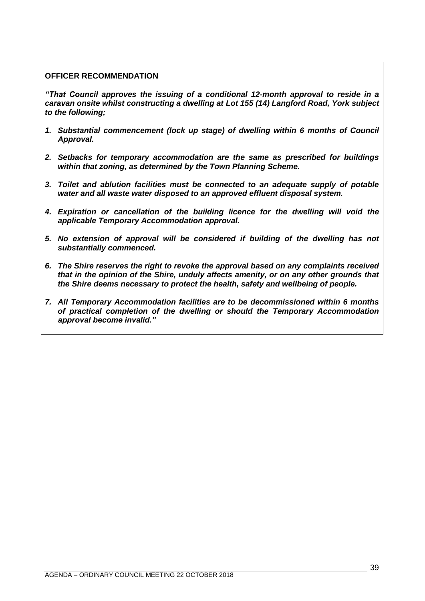### **OFFICER RECOMMENDATION**

*"That Council approves the issuing of a conditional 12-month approval to reside in a caravan onsite whilst constructing a dwelling at Lot 155 (14) Langford Road, York subject to the following;* 

- *1. Substantial commencement (lock up stage) of dwelling within 6 months of Council Approval.*
- *2. Setbacks for temporary accommodation are the same as prescribed for buildings within that zoning, as determined by the Town Planning Scheme.*
- *3. Toilet and ablution facilities must be connected to an adequate supply of potable water and all waste water disposed to an approved effluent disposal system.*
- *4. Expiration or cancellation of the building licence for the dwelling will void the applicable Temporary Accommodation approval.*
- *5. No extension of approval will be considered if building of the dwelling has not substantially commenced.*
- *6. The Shire reserves the right to revoke the approval based on any complaints received that in the opinion of the Shire, unduly affects amenity, or on any other grounds that the Shire deems necessary to protect the health, safety and wellbeing of people.*
- *7. All Temporary Accommodation facilities are to be decommissioned within 6 months of practical completion of the dwelling or should the Temporary Accommodation approval become invalid."*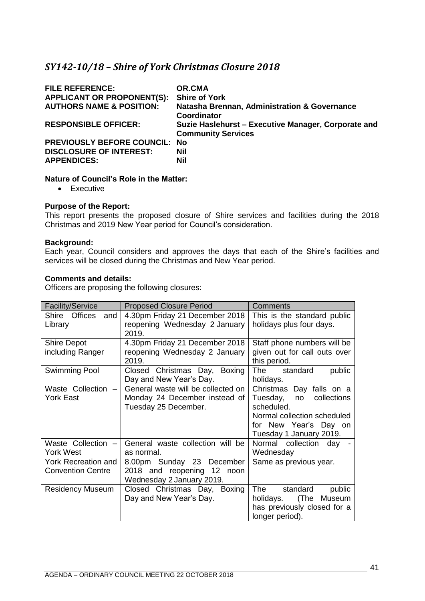# <span id="page-40-0"></span>*SY142-10/18 – Shire of York Christmas Closure 2018*

| <b>FILE REFERENCE:</b><br><b>APPLICANT OR PROPONENT(S):</b> | <b>OR.CMA</b><br><b>Shire of York</b>                                            |
|-------------------------------------------------------------|----------------------------------------------------------------------------------|
| <b>AUTHORS NAME &amp; POSITION:</b>                         | <b>Natasha Brennan, Administration &amp; Governance</b><br>Coordinator           |
| <b>RESPONSIBLE OFFICER:</b>                                 | Suzie Haslehurst - Executive Manager, Corporate and<br><b>Community Services</b> |
| <b>PREVIOUSLY BEFORE COUNCIL:</b>                           | No                                                                               |
| <b>DISCLOSURE OF INTEREST:</b>                              | <b>Nil</b>                                                                       |
| <b>APPENDICES:</b>                                          | Nil                                                                              |

### **Nature of Council's Role in the Matter:**

• Executive

### **Purpose of the Report:**

This report presents the proposed closure of Shire services and facilities during the 2018 Christmas and 2019 New Year period for Council's consideration.

### **Background:**

Each year, Council considers and approves the days that each of the Shire's facilities and services will be closed during the Christmas and New Year period.

### **Comments and details:**

Officers are proposing the following closures:

| <b>Facility/Service</b>  | <b>Proposed Closure Period</b>     | <b>Comments</b>              |
|--------------------------|------------------------------------|------------------------------|
| Shire Offices<br>and     | 4.30pm Friday 21 December 2018     | This is the standard public  |
| Library                  | reopening Wednesday 2 January      | holidays plus four days.     |
|                          | 2019.                              |                              |
| <b>Shire Depot</b>       | 4.30pm Friday 21 December 2018     | Staff phone numbers will be  |
| including Ranger         | reopening Wednesday 2 January      | given out for call outs over |
|                          | 2019.                              | this period.                 |
| Swimming Pool            | Closed Christmas Day, Boxing       | The<br>standard<br>public    |
|                          | Day and New Year's Day.            | holidays.                    |
| Waste Collection -       | General waste will be collected on | Christmas Day falls on a     |
| <b>York East</b>         | Monday 24 December instead of      | Tuesday, no collections      |
|                          | Tuesday 25 December.               | scheduled.                   |
|                          |                                    | Normal collection scheduled  |
|                          |                                    | for New Year's Day on        |
|                          |                                    | Tuesday 1 January 2019.      |
| Waste Collection -       | General waste collection will be   | Normal collection day        |
| <b>York West</b>         | as normal.                         | Wednesday                    |
| York Recreation and      | 8.00pm Sunday 23 December          | Same as previous year.       |
| <b>Convention Centre</b> | 2018 and reopening 12 noon         |                              |
|                          | Wednesday 2 January 2019.          |                              |
| <b>Residency Museum</b>  | Closed Christmas Day, Boxing       | The<br>standard<br>public    |
|                          | Day and New Year's Day.            | holidays. (The Museum        |
|                          |                                    | has previously closed for a  |
|                          |                                    | longer period).              |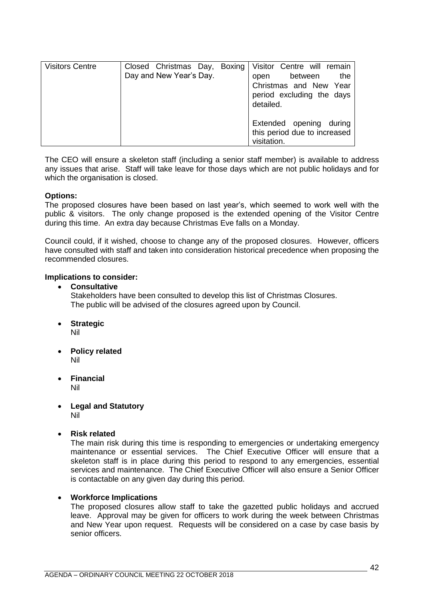| <b>Visitors Centre</b> | Closed Christmas Day, Boxing<br>Day and New Year's Day. | Visitor Centre will remain<br>between<br>the<br>open<br>Christmas and New Year<br>period excluding the days<br>detailed. |
|------------------------|---------------------------------------------------------|--------------------------------------------------------------------------------------------------------------------------|
|                        |                                                         | Extended opening during<br>this period due to increased<br>visitation.                                                   |

The CEO will ensure a skeleton staff (including a senior staff member) is available to address any issues that arise. Staff will take leave for those days which are not public holidays and for which the organisation is closed.

### **Options:**

The proposed closures have been based on last year's, which seemed to work well with the public & visitors. The only change proposed is the extended opening of the Visitor Centre during this time. An extra day because Christmas Eve falls on a Monday.

Council could, if it wished, choose to change any of the proposed closures. However, officers have consulted with staff and taken into consideration historical precedence when proposing the recommended closures.

#### **Implications to consider:**

#### • **Consultative**

Stakeholders have been consulted to develop this list of Christmas Closures. The public will be advised of the closures agreed upon by Council.

- **Strategic** Nil
- **Policy related** Nil
- **Financial** Nil
- **Legal and Statutory** Nil
- **Risk related**

The main risk during this time is responding to emergencies or undertaking emergency maintenance or essential services. The Chief Executive Officer will ensure that a skeleton staff is in place during this period to respond to any emergencies, essential services and maintenance. The Chief Executive Officer will also ensure a Senior Officer is contactable on any given day during this period.

#### • **Workforce Implications**

The proposed closures allow staff to take the gazetted public holidays and accrued leave. Approval may be given for officers to work during the week between Christmas and New Year upon request. Requests will be considered on a case by case basis by senior officers.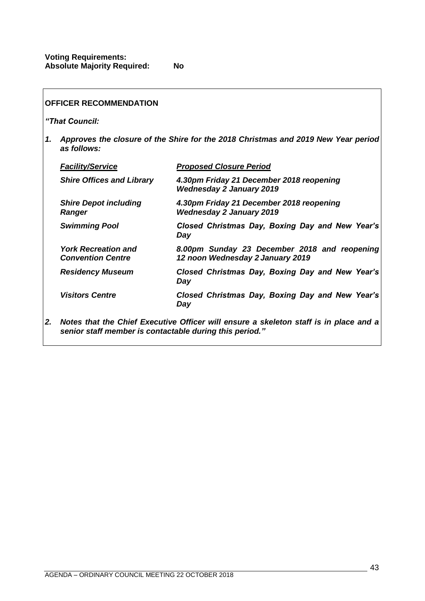| <b>OFFICER RECOMMENDATION</b>                          |                                                                                   |  |
|--------------------------------------------------------|-----------------------------------------------------------------------------------|--|
| "That Council:                                         |                                                                                   |  |
| 1.<br>as follows:                                      | Approves the closure of the Shire for the 2018 Christmas and 2019 New Year period |  |
| <b>Facility/Service</b>                                | <b>Proposed Closure Period</b>                                                    |  |
| <b>Shire Offices and Library</b>                       | 4.30pm Friday 21 December 2018 reopening<br><b>Wednesday 2 January 2019</b>       |  |
| <b>Shire Depot including</b><br><b>Ranger</b>          | 4.30pm Friday 21 December 2018 reopening<br><b>Wednesday 2 January 2019</b>       |  |
| <b>Swimming Pool</b>                                   | Closed Christmas Day, Boxing Day and New Year's<br>Day                            |  |
| <b>York Recreation and</b><br><b>Convention Centre</b> | 8.00pm Sunday 23 December 2018 and reopening<br>12 noon Wednesday 2 January 2019  |  |
| <b>Residency Museum</b>                                | Closed Christmas Day, Boxing Day and New Year's<br>Day                            |  |
| <b>Visitors Centre</b>                                 | Closed Christmas Day, Boxing Day and New Year's<br>Day                            |  |
|                                                        |                                                                                   |  |

*2. Notes that the Chief Executive Officer will ensure a skeleton staff is in place and a senior staff member is contactable during this period."*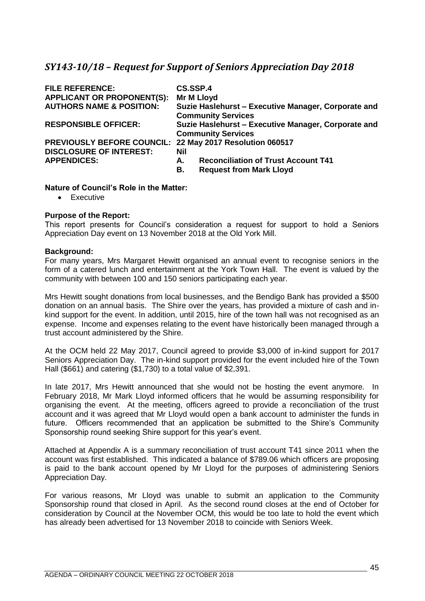# <span id="page-44-0"></span>*SY143-10/18 – Request for Support of Seniors Appreciation Day 2018*

| <b>FILE REFERENCE:</b>                                   | CS.SSP.4                                                                         |  |
|----------------------------------------------------------|----------------------------------------------------------------------------------|--|
| <b>APPLICANT OR PROPONENT(S):</b>                        | <b>Mr M Lloyd</b>                                                                |  |
| <b>AUTHORS NAME &amp; POSITION:</b>                      | Suzie Haslehurst - Executive Manager, Corporate and<br><b>Community Services</b> |  |
| <b>RESPONSIBLE OFFICER:</b>                              | Suzie Haslehurst - Executive Manager, Corporate and<br><b>Community Services</b> |  |
| PREVIOUSLY BEFORE COUNCIL: 22 May 2017 Resolution 060517 |                                                                                  |  |
| <b>DISCLOSURE OF INTEREST:</b>                           | Nil                                                                              |  |
| <b>APPENDICES:</b>                                       | <b>Reconciliation of Trust Account T41</b><br>А.                                 |  |
|                                                          | <b>Request from Mark Lloyd</b><br>В.                                             |  |

### **Nature of Council's Role in the Matter:**

• Executive

### **Purpose of the Report:**

This report presents for Council's consideration a request for support to hold a Seniors Appreciation Day event on 13 November 2018 at the Old York Mill.

#### **Background:**

For many years, Mrs Margaret Hewitt organised an annual event to recognise seniors in the form of a catered lunch and entertainment at the York Town Hall. The event is valued by the community with between 100 and 150 seniors participating each year.

Mrs Hewitt sought donations from local businesses, and the Bendigo Bank has provided a \$500 donation on an annual basis. The Shire over the years, has provided a mixture of cash and inkind support for the event. In addition, until 2015, hire of the town hall was not recognised as an expense. Income and expenses relating to the event have historically been managed through a trust account administered by the Shire.

At the OCM held 22 May 2017, Council agreed to provide \$3,000 of in-kind support for 2017 Seniors Appreciation Day. The in-kind support provided for the event included hire of the Town Hall (\$661) and catering (\$1,730) to a total value of \$2,391.

In late 2017, Mrs Hewitt announced that she would not be hosting the event anymore. In February 2018, Mr Mark Lloyd informed officers that he would be assuming responsibility for organising the event. At the meeting, officers agreed to provide a reconciliation of the trust account and it was agreed that Mr Lloyd would open a bank account to administer the funds in future. Officers recommended that an application be submitted to the Shire's Community Sponsorship round seeking Shire support for this year's event.

Attached at Appendix A is a summary reconciliation of trust account T41 since 2011 when the account was first established. This indicated a balance of \$789.06 which officers are proposing is paid to the bank account opened by Mr Lloyd for the purposes of administering Seniors Appreciation Day.

For various reasons, Mr Lloyd was unable to submit an application to the Community Sponsorship round that closed in April. As the second round closes at the end of October for consideration by Council at the November OCM, this would be too late to hold the event which has already been advertised for 13 November 2018 to coincide with Seniors Week.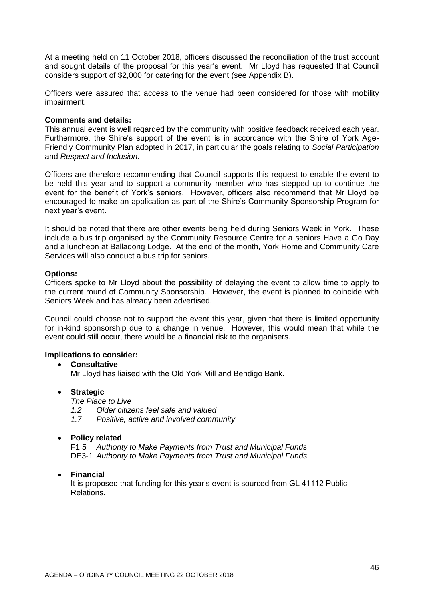At a meeting held on 11 October 2018, officers discussed the reconciliation of the trust account and sought details of the proposal for this year's event. Mr Lloyd has requested that Council considers support of \$2,000 for catering for the event (see Appendix B).

Officers were assured that access to the venue had been considered for those with mobility impairment.

#### **Comments and details:**

This annual event is well regarded by the community with positive feedback received each year. Furthermore, the Shire's support of the event is in accordance with the Shire of York Age-Friendly Community Plan adopted in 2017, in particular the goals relating to *Social Participation* and *Respect and Inclusion.*

Officers are therefore recommending that Council supports this request to enable the event to be held this year and to support a community member who has stepped up to continue the event for the benefit of York's seniors. However, officers also recommend that Mr Lloyd be encouraged to make an application as part of the Shire's Community Sponsorship Program for next year's event.

It should be noted that there are other events being held during Seniors Week in York. These include a bus trip organised by the Community Resource Centre for a seniors Have a Go Day and a luncheon at Balladong Lodge. At the end of the month, York Home and Community Care Services will also conduct a bus trip for seniors.

### **Options:**

Officers spoke to Mr Lloyd about the possibility of delaying the event to allow time to apply to the current round of Community Sponsorship. However, the event is planned to coincide with Seniors Week and has already been advertised.

Council could choose not to support the event this year, given that there is limited opportunity for in-kind sponsorship due to a change in venue. However, this would mean that while the event could still occur, there would be a financial risk to the organisers.

#### **Implications to consider:**

#### • **Consultative**

Mr Lloyd has liaised with the Old York Mill and Bendigo Bank.

#### • **Strategic**

*The Place to Live*

*1.2 Older citizens feel safe and valued*

*1.7 Positive, active and involved community*

#### • **Policy related**

F1.5 *Authority to Make Payments from Trust and Municipal Funds* DE3-1 *Authority to Make Payments from Trust and Municipal Funds*

#### • **Financial**

It is proposed that funding for this year's event is sourced from GL 41112 Public Relations.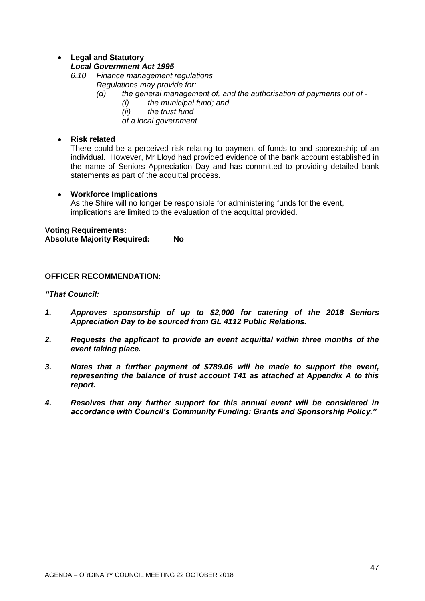### • **Legal and Statutory**

### *Local Government Act 1995*

*6.10 Finance management regulations*

- *Regulations may provide for:*
	- *(d) the general management of, and the authorisation of payments out of -*
		- *(i) the municipal fund; and*
		- *(ii) the trust fund*
		- *of a local government*

### • **Risk related**

There could be a perceived risk relating to payment of funds to and sponsorship of an individual. However, Mr Lloyd had provided evidence of the bank account established in the name of Seniors Appreciation Day and has committed to providing detailed bank statements as part of the acquittal process.

### • **Workforce Implications**

As the Shire will no longer be responsible for administering funds for the event, implications are limited to the evaluation of the acquittal provided.

### **Voting Requirements: Absolute Majority Required: No**

### **OFFICER RECOMMENDATION:**

*"That Council:*

- *1. Approves sponsorship of up to \$2,000 for catering of the 2018 Seniors Appreciation Day to be sourced from GL 4112 Public Relations.*
- *2. Requests the applicant to provide an event acquittal within three months of the event taking place.*
- *3. Notes that a further payment of \$789.06 will be made to support the event, representing the balance of trust account T41 as attached at Appendix A to this report.*
- *4. Resolves that any further support for this annual event will be considered in accordance with Council's Community Funding: Grants and Sponsorship Policy."*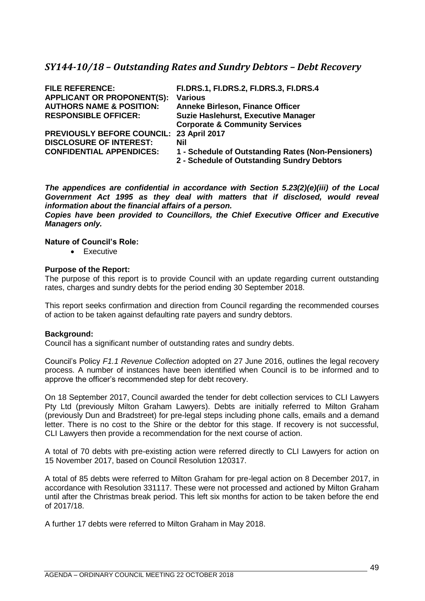## <span id="page-48-0"></span>*SY144-10/18 – Outstanding Rates and Sundry Debtors – Debt Recovery*

| <b>FILE REFERENCE:</b><br><b>APPLICANT OR PROPONENT(S):</b><br><b>AUTHORS NAME &amp; POSITION:</b><br><b>RESPONSIBLE OFFICER:</b> | FI.DRS.1, FI.DRS.2, FI.DRS.3, FI.DRS.4<br><b>Various</b><br><b>Anneke Birleson, Finance Officer</b><br><b>Suzie Haslehurst, Executive Manager</b><br><b>Corporate &amp; Community Services</b> |
|-----------------------------------------------------------------------------------------------------------------------------------|------------------------------------------------------------------------------------------------------------------------------------------------------------------------------------------------|
| PREVIOUSLY BEFORE COUNCIL: 23 April 2017                                                                                          | Nil                                                                                                                                                                                            |
| <b>DISCLOSURE OF INTEREST:</b>                                                                                                    | 1 - Schedule of Outstanding Rates (Non-Pensioners)                                                                                                                                             |
| <b>CONFIDENTIAL APPENDICES:</b>                                                                                                   | 2 - Schedule of Outstanding Sundry Debtors                                                                                                                                                     |

*The appendices are confidential in accordance with Section 5.23(2)(e)(iii) of the Local Government Act 1995 as they deal with matters that if disclosed, would reveal information about the financial affairs of a person.* 

*Copies have been provided to Councillors, the Chief Executive Officer and Executive Managers only.*

### **Nature of Council's Role:**

• Executive

### **Purpose of the Report:**

The purpose of this report is to provide Council with an update regarding current outstanding rates, charges and sundry debts for the period ending 30 September 2018.

This report seeks confirmation and direction from Council regarding the recommended courses of action to be taken against defaulting rate payers and sundry debtors.

#### **Background:**

Council has a significant number of outstanding rates and sundry debts.

Council's Policy *F1.1 Revenue Collection* adopted on 27 June 2016, outlines the legal recovery process. A number of instances have been identified when Council is to be informed and to approve the officer's recommended step for debt recovery.

On 18 September 2017, Council awarded the tender for debt collection services to CLI Lawyers Pty Ltd (previously Milton Graham Lawyers). Debts are initially referred to Milton Graham (previously Dun and Bradstreet) for pre-legal steps including phone calls, emails and a demand letter. There is no cost to the Shire or the debtor for this stage. If recovery is not successful, CLI Lawyers then provide a recommendation for the next course of action.

A total of 70 debts with pre-existing action were referred directly to CLI Lawyers for action on 15 November 2017, based on Council Resolution 120317.

A total of 85 debts were referred to Milton Graham for pre-legal action on 8 December 2017, in accordance with Resolution 331117. These were not processed and actioned by Milton Graham until after the Christmas break period. This left six months for action to be taken before the end of 2017/18.

A further 17 debts were referred to Milton Graham in May 2018.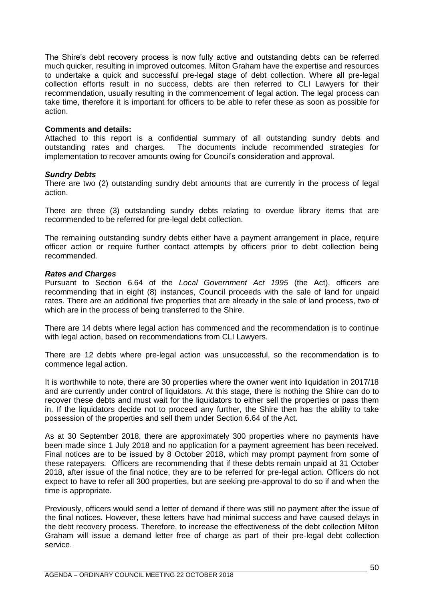The Shire's debt recovery process is now fully active and outstanding debts can be referred much quicker, resulting in improved outcomes. Milton Graham have the expertise and resources to undertake a quick and successful pre-legal stage of debt collection. Where all pre-legal collection efforts result in no success, debts are then referred to CLI Lawyers for their recommendation, usually resulting in the commencement of legal action. The legal process can take time, therefore it is important for officers to be able to refer these as soon as possible for action.

#### **Comments and details:**

Attached to this report is a confidential summary of all outstanding sundry debts and outstanding rates and charges. The documents include recommended strategies for implementation to recover amounts owing for Council's consideration and approval.

#### *Sundry Debts*

There are two (2) outstanding sundry debt amounts that are currently in the process of legal action.

There are three (3) outstanding sundry debts relating to overdue library items that are recommended to be referred for pre-legal debt collection.

The remaining outstanding sundry debts either have a payment arrangement in place, require officer action or require further contact attempts by officers prior to debt collection being recommended.

#### *Rates and Charges*

Pursuant to Section 6.64 of the *Local Government Act 1995* (the Act), officers are recommending that in eight (8) instances, Council proceeds with the sale of land for unpaid rates. There are an additional five properties that are already in the sale of land process, two of which are in the process of being transferred to the Shire.

There are 14 debts where legal action has commenced and the recommendation is to continue with legal action, based on recommendations from CLI Lawyers.

There are 12 debts where pre-legal action was unsuccessful, so the recommendation is to commence legal action.

It is worthwhile to note, there are 30 properties where the owner went into liquidation in 2017/18 and are currently under control of liquidators. At this stage, there is nothing the Shire can do to recover these debts and must wait for the liquidators to either sell the properties or pass them in. If the liquidators decide not to proceed any further, the Shire then has the ability to take possession of the properties and sell them under Section 6.64 of the Act.

As at 30 September 2018, there are approximately 300 properties where no payments have been made since 1 July 2018 and no application for a payment agreement has been received. Final notices are to be issued by 8 October 2018, which may prompt payment from some of these ratepayers. Officers are recommending that if these debts remain unpaid at 31 October 2018, after issue of the final notice, they are to be referred for pre-legal action. Officers do not expect to have to refer all 300 properties, but are seeking pre-approval to do so if and when the time is appropriate.

Previously, officers would send a letter of demand if there was still no payment after the issue of the final notices. However, these letters have had minimal success and have caused delays in the debt recovery process. Therefore, to increase the effectiveness of the debt collection Milton Graham will issue a demand letter free of charge as part of their pre-legal debt collection service.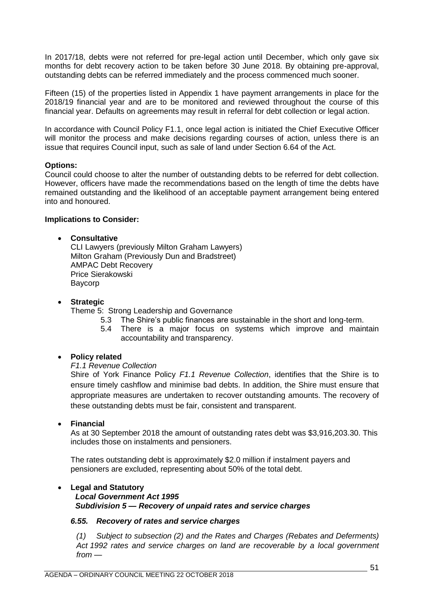In 2017/18, debts were not referred for pre-legal action until December, which only gave six months for debt recovery action to be taken before 30 June 2018. By obtaining pre-approval, outstanding debts can be referred immediately and the process commenced much sooner.

Fifteen (15) of the properties listed in Appendix 1 have payment arrangements in place for the 2018/19 financial year and are to be monitored and reviewed throughout the course of this financial year. Defaults on agreements may result in referral for debt collection or legal action.

In accordance with Council Policy F1.1, once legal action is initiated the Chief Executive Officer will monitor the process and make decisions regarding courses of action, unless there is an issue that requires Council input, such as sale of land under Section 6.64 of the Act.

### **Options:**

Council could choose to alter the number of outstanding debts to be referred for debt collection. However, officers have made the recommendations based on the length of time the debts have remained outstanding and the likelihood of an acceptable payment arrangement being entered into and honoured.

### **Implications to Consider:**

### • **Consultative**

CLI Lawyers (previously Milton Graham Lawyers) Milton Graham (Previously Dun and Bradstreet) AMPAC Debt Recovery Price Sierakowski Baycorp

#### • **Strategic**

Theme 5: Strong Leadership and Governance

- 5.3 The Shire's public finances are sustainable in the short and long-term.
- 5.4 There is a major focus on systems which improve and maintain accountability and transparency.

#### • **Policy related**

#### *F1.1 Revenue Collection*

Shire of York Finance Policy *F1.1 Revenue Collection*, identifies that the Shire is to ensure timely cashflow and minimise bad debts. In addition, the Shire must ensure that appropriate measures are undertaken to recover outstanding amounts. The recovery of these outstanding debts must be fair, consistent and transparent.

#### • **Financial**

As at 30 September 2018 the amount of outstanding rates debt was \$3,916,203.30. This includes those on instalments and pensioners.

The rates outstanding debt is approximately \$2.0 million if instalment payers and pensioners are excluded, representing about 50% of the total debt.

### • **Legal and Statutory**

# *Local Government Act 1995 Subdivision 5 — Recovery of unpaid rates and service charges*

### *6.55. Recovery of rates and service charges*

*(1) Subject to subsection (2) and the Rates and Charges (Rebates and Deferments) Act 1992 rates and service charges on land are recoverable by a local government from —*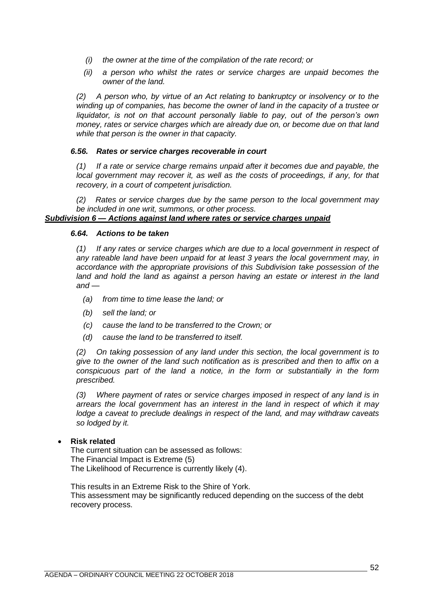- *(i) the owner at the time of the compilation of the rate record; or*
- *(ii) a person who whilst the rates or service charges are unpaid becomes the owner of the land.*

*(2) A person who, by virtue of an Act relating to bankruptcy or insolvency or to the winding up of companies, has become the owner of land in the capacity of a trustee or liquidator, is not on that account personally liable to pay, out of the person's own money, rates or service charges which are already due on, or become due on that land while that person is the owner in that capacity.*

#### *6.56. Rates or service charges recoverable in court*

*(1) If a rate or service charge remains unpaid after it becomes due and payable, the local government may recover it, as well as the costs of proceedings, if any, for that recovery, in a court of competent jurisdiction.*

*(2) Rates or service charges due by the same person to the local government may be included in one writ, summons, or other process.*

### *Subdivision 6 — Actions against land where rates or service charges unpaid*

### *6.64. Actions to be taken*

*(1) If any rates or service charges which are due to a local government in respect of any rateable land have been unpaid for at least 3 years the local government may, in accordance with the appropriate provisions of this Subdivision take possession of the*  land and hold the land as against a person having an estate or interest in the land *and —*

- *(a) from time to time lease the land; or*
- *(b) sell the land; or*
- *(c) cause the land to be transferred to the Crown; or*
- *(d) cause the land to be transferred to itself.*

*(2) On taking possession of any land under this section, the local government is to give to the owner of the land such notification as is prescribed and then to affix on a conspicuous part of the land a notice, in the form or substantially in the form prescribed.*

*(3) Where payment of rates or service charges imposed in respect of any land is in arrears the local government has an interest in the land in respect of which it may lodge a caveat to preclude dealings in respect of the land, and may withdraw caveats so lodged by it.*

### • **Risk related**

The current situation can be assessed as follows: The Financial Impact is Extreme (5) The Likelihood of Recurrence is currently likely (4).

This results in an Extreme Risk to the Shire of York. This assessment may be significantly reduced depending on the success of the debt recovery process.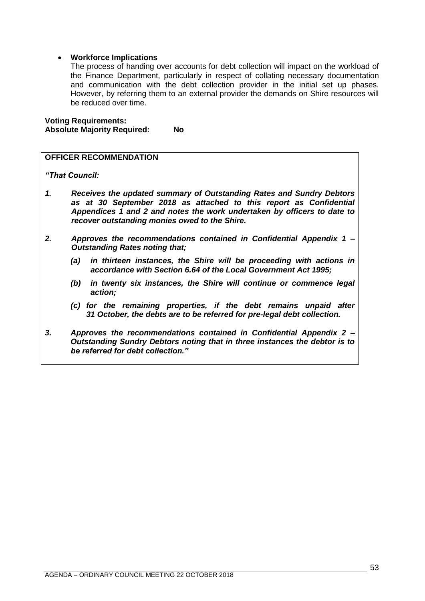### • **Workforce Implications**

The process of handing over accounts for debt collection will impact on the workload of the Finance Department, particularly in respect of collating necessary documentation and communication with the debt collection provider in the initial set up phases. However, by referring them to an external provider the demands on Shire resources will be reduced over time.

### **Voting Requirements: Absolute Majority Required: No**

### **OFFICER RECOMMENDATION**

*"That Council:*

- *1. Receives the updated summary of Outstanding Rates and Sundry Debtors as at 30 September 2018 as attached to this report as Confidential Appendices 1 and 2 and notes the work undertaken by officers to date to recover outstanding monies owed to the Shire.*
- *2. Approves the recommendations contained in Confidential Appendix 1 – Outstanding Rates noting that;*
	- *(a) in thirteen instances, the Shire will be proceeding with actions in accordance with Section 6.64 of the Local Government Act 1995;*
	- *(b) in twenty six instances, the Shire will continue or commence legal action;*
	- *(c) for the remaining properties, if the debt remains unpaid after 31 October, the debts are to be referred for pre-legal debt collection.*
- *3. Approves the recommendations contained in Confidential Appendix 2 – Outstanding Sundry Debtors noting that in three instances the debtor is to be referred for debt collection."*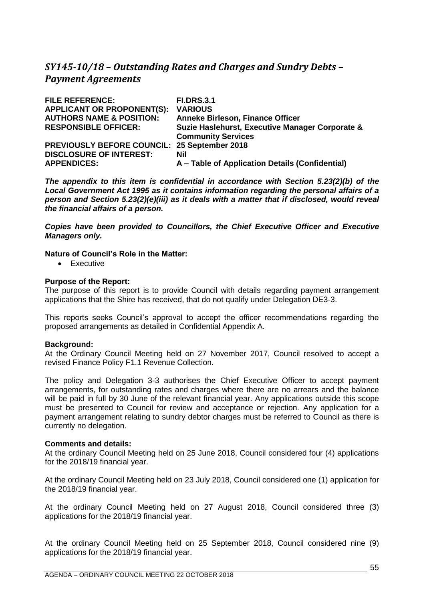# <span id="page-54-0"></span>*SY145-10/18 – Outstanding Rates and Charges and Sundry Debts – Payment Agreements*

| <b>FILE REFERENCE:</b>                              | <b>FI.DRS.3.1</b>                               |
|-----------------------------------------------------|-------------------------------------------------|
| <b>APPLICANT OR PROPONENT(S):</b>                   | <b>VARIOUS</b>                                  |
| <b>AUTHORS NAME &amp; POSITION:</b>                 | <b>Anneke Birleson, Finance Officer</b>         |
| <b>RESPONSIBLE OFFICER:</b>                         | Suzie Haslehurst, Executive Manager Corporate & |
|                                                     | <b>Community Services</b>                       |
| <b>PREVIOUSLY BEFORE COUNCIL: 25 September 2018</b> |                                                 |
| <b>DISCLOSURE OF INTEREST:</b>                      | Nil                                             |
| <b>APPENDICES:</b>                                  | A – Table of Application Details (Confidential) |

*The appendix to this item is confidential in accordance with Section 5.23(2)(b) of the Local Government Act 1995 as it contains information regarding the personal affairs of a person and Section 5.23(2)(e)(iii) as it deals with a matter that if disclosed, would reveal the financial affairs of a person.* 

*Copies have been provided to Councillors, the Chief Executive Officer and Executive Managers only.*

#### **Nature of Council's Role in the Matter:**

• Executive

### **Purpose of the Report:**

The purpose of this report is to provide Council with details regarding payment arrangement applications that the Shire has received, that do not qualify under Delegation DE3-3.

This reports seeks Council's approval to accept the officer recommendations regarding the proposed arrangements as detailed in Confidential Appendix A.

#### **Background:**

At the Ordinary Council Meeting held on 27 November 2017, Council resolved to accept a revised Finance Policy F1.1 Revenue Collection.

The policy and Delegation 3-3 authorises the Chief Executive Officer to accept payment arrangements, for outstanding rates and charges where there are no arrears and the balance will be paid in full by 30 June of the relevant financial year. Any applications outside this scope must be presented to Council for review and acceptance or rejection. Any application for a payment arrangement relating to sundry debtor charges must be referred to Council as there is currently no delegation.

#### **Comments and details:**

At the ordinary Council Meeting held on 25 June 2018, Council considered four (4) applications for the 2018/19 financial year.

At the ordinary Council Meeting held on 23 July 2018, Council considered one (1) application for the 2018/19 financial year.

At the ordinary Council Meeting held on 27 August 2018, Council considered three (3) applications for the 2018/19 financial year.

At the ordinary Council Meeting held on 25 September 2018, Council considered nine (9) applications for the 2018/19 financial year.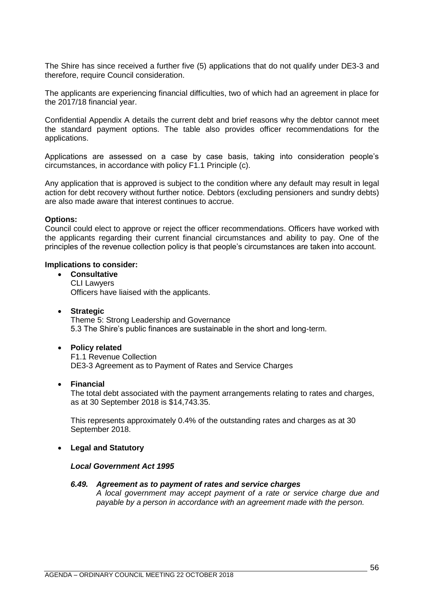The Shire has since received a further five (5) applications that do not qualify under DE3-3 and therefore, require Council consideration.

The applicants are experiencing financial difficulties, two of which had an agreement in place for the 2017/18 financial year.

Confidential Appendix A details the current debt and brief reasons why the debtor cannot meet the standard payment options. The table also provides officer recommendations for the applications.

Applications are assessed on a case by case basis, taking into consideration people's circumstances, in accordance with policy F1.1 Principle (c).

Any application that is approved is subject to the condition where any default may result in legal action for debt recovery without further notice. Debtors (excluding pensioners and sundry debts) are also made aware that interest continues to accrue.

#### **Options:**

Council could elect to approve or reject the officer recommendations. Officers have worked with the applicants regarding their current financial circumstances and ability to pay. One of the principles of the revenue collection policy is that people's circumstances are taken into account.

#### **Implications to consider:**

• **Consultative** CLI Lawyers Officers have liaised with the applicants.

• **Strategic**

Theme 5: Strong Leadership and Governance 5.3 The Shire's public finances are sustainable in the short and long-term.

#### • **Policy related**

F1.1 Revenue Collection DE3-3 Agreement as to Payment of Rates and Service Charges

• **Financial**

The total debt associated with the payment arrangements relating to rates and charges, as at 30 September 2018 is \$14,743.35.

This represents approximately 0.4% of the outstanding rates and charges as at 30 September 2018.

#### • **Legal and Statutory**

#### *Local Government Act 1995*

#### *6.49. Agreement as to payment of rates and service charges*

*A local government may accept payment of a rate or service charge due and payable by a person in accordance with an agreement made with the person.*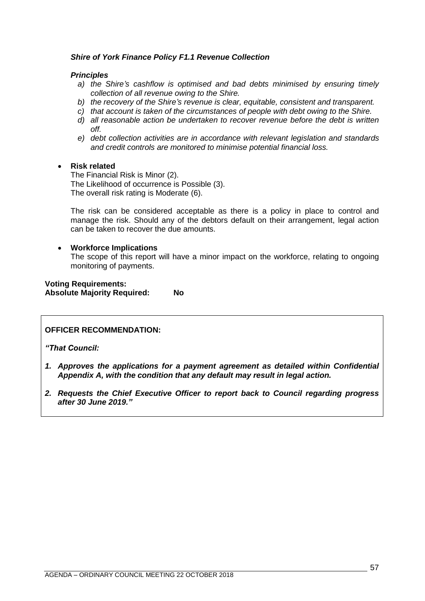### *Shire of York Finance Policy F1.1 Revenue Collection*

### *Principles*

- *a) the Shire's cashflow is optimised and bad debts minimised by ensuring timely collection of all revenue owing to the Shire.*
- *b) the recovery of the Shire's revenue is clear, equitable, consistent and transparent.*
- *c) that account is taken of the circumstances of people with debt owing to the Shire.*
- *d) all reasonable action be undertaken to recover revenue before the debt is written off.*
- *e) debt collection activities are in accordance with relevant legislation and standards and credit controls are monitored to minimise potential financial loss.*

### • **Risk related**

The Financial Risk is Minor (2). The Likelihood of occurrence is Possible (3). The overall risk rating is Moderate (6).

The risk can be considered acceptable as there is a policy in place to control and manage the risk. Should any of the debtors default on their arrangement, legal action can be taken to recover the due amounts.

### • **Workforce Implications**

The scope of this report will have a minor impact on the workforce, relating to ongoing monitoring of payments.

#### **Voting Requirements: Absolute Majority Required: No**

**OFFICER RECOMMENDATION:**

*"That Council:*

- *1. Approves the applications for a payment agreement as detailed within Confidential Appendix A, with the condition that any default may result in legal action.*
- *2. Requests the Chief Executive Officer to report back to Council regarding progress after 30 June 2019."*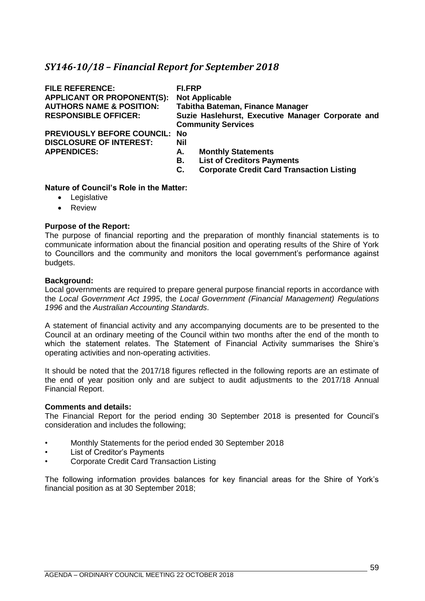# <span id="page-58-0"></span>*SY146-10/18 – Financial Report for September 2018*

| <b>FILE REFERENCE:</b><br><b>APPLICANT OR PROPONENT(S):</b><br><b>AUTHORS NAME &amp; POSITION:</b><br><b>RESPONSIBLE OFFICER:</b> | FI.FRP<br><b>Not Applicable</b><br><b>Tabitha Bateman, Finance Manager</b><br>Suzie Haslehurst, Executive Manager Corporate and<br><b>Community Services</b> |  |
|-----------------------------------------------------------------------------------------------------------------------------------|--------------------------------------------------------------------------------------------------------------------------------------------------------------|--|
| <b>PREVIOUSLY BEFORE COUNCIL:</b><br><b>DISCLOSURE OF INTEREST:</b><br><b>APPENDICES:</b>                                         | No<br>Nil<br><b>Monthly Statements</b><br>А.<br><b>List of Creditors Payments</b><br>В.<br><b>Corporate Credit Card Transaction Listing</b><br>C.            |  |

### **Nature of Council's Role in the Matter:**

- Legislative
- Review

#### **Purpose of the Report:**

The purpose of financial reporting and the preparation of monthly financial statements is to communicate information about the financial position and operating results of the Shire of York to Councillors and the community and monitors the local government's performance against budgets.

#### **Background:**

Local governments are required to prepare general purpose financial reports in accordance with the *Local Government Act 1995*, the *Local Government (Financial Management) Regulations 1996* and the *Australian Accounting Standards*.

A statement of financial activity and any accompanying documents are to be presented to the Council at an ordinary meeting of the Council within two months after the end of the month to which the statement relates. The Statement of Financial Activity summarises the Shire's operating activities and non-operating activities.

It should be noted that the 2017/18 figures reflected in the following reports are an estimate of the end of year position only and are subject to audit adjustments to the 2017/18 Annual Financial Report.

#### **Comments and details:**

The Financial Report for the period ending 30 September 2018 is presented for Council's consideration and includes the following;

- Monthly Statements for the period ended 30 September 2018
- List of Creditor's Payments
- Corporate Credit Card Transaction Listing

The following information provides balances for key financial areas for the Shire of York's financial position as at 30 September 2018;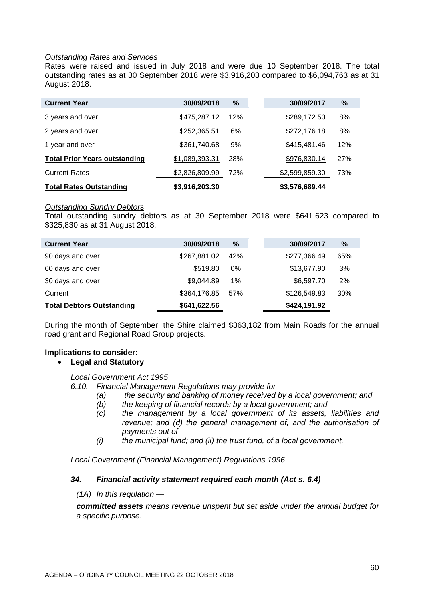### *Outstanding Rates and Services*

Rates were raised and issued in July 2018 and were due 10 September 2018. The total outstanding rates as at 30 September 2018 were \$3,916,203 compared to \$6,094,763 as at 31 August 2018.

| <b>Current Year</b>                  | 30/09/2018     | %   | 30/09/2017     | %   |
|--------------------------------------|----------------|-----|----------------|-----|
| 3 years and over                     | \$475,287.12   | 12% | \$289,172.50   | 8%  |
| 2 years and over                     | \$252,365.51   | 6%  | \$272,176.18   | 8%  |
| 1 year and over                      | \$361,740.68   | 9%  | \$415,481.46   | 12% |
| <b>Total Prior Years outstanding</b> | \$1,089,393.31 | 28% | \$976,830.14   | 27% |
| <b>Current Rates</b>                 | \$2,826,809.99 | 72% | \$2,599,859.30 | 73% |
| <b>Total Rates Outstanding</b>       | \$3,916,203.30 |     | \$3,576,689.44 |     |

#### *Outstanding Sundry Debtors*

Total outstanding sundry debtors as at 30 September 2018 were \$641,623 compared to \$325,830 as at 31 August 2018.

| <b>Current Year</b>              | 30/09/2018   | %     | 30/09/2017   | $\frac{9}{6}$ |
|----------------------------------|--------------|-------|--------------|---------------|
| 90 days and over                 | \$267,881.02 | 42%   | \$277,366.49 | 65%           |
| 60 days and over                 | \$519.80     | 0%    | \$13,677.90  | 3%            |
| 30 days and over                 | \$9,044.89   | $1\%$ | \$6,597.70   | 2%            |
| Current                          | \$364,176.85 | 57%   | \$126,549.83 | 30%           |
| <b>Total Debtors Outstanding</b> | \$641,622.56 |       | \$424,191.92 |               |

During the month of September, the Shire claimed \$363,182 from Main Roads for the annual road grant and Regional Road Group projects.

### **Implications to consider:**

### • **Legal and Statutory**

*Local Government Act 1995*

*6.10. Financial Management Regulations may provide for —*

- *(a) the security and banking of money received by a local government; and* 
	- *(b) the keeping of financial records by a local government; and*
	- *(c) the management by a local government of its assets, liabilities and revenue; and (d) the general management of, and the authorisation of payments out of —*
	- *(i) the municipal fund; and (ii) the trust fund, of a local government.*

*Local Government (Financial Management) Regulations 1996*

### *34. Financial activity statement required each month (Act s. 6.4)*

*(1A) In this regulation —*

*committed assets means revenue unspent but set aside under the annual budget for a specific purpose.*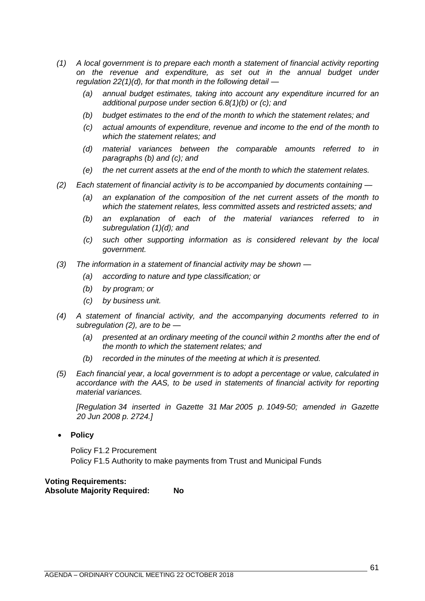- *(1) A local government is to prepare each month a statement of financial activity reporting on the revenue and expenditure, as set out in the annual budget under regulation 22(1)(d), for that month in the following detail —*
	- *(a) annual budget estimates, taking into account any expenditure incurred for an additional purpose under section 6.8(1)(b) or (c); and*
	- *(b) budget estimates to the end of the month to which the statement relates; and*
	- *(c) actual amounts of expenditure, revenue and income to the end of the month to which the statement relates; and*
	- *(d) material variances between the comparable amounts referred to in paragraphs (b) and (c); and*
	- *(e) the net current assets at the end of the month to which the statement relates.*
- *(2) Each statement of financial activity is to be accompanied by documents containing —*
	- *(a) an explanation of the composition of the net current assets of the month to which the statement relates, less committed assets and restricted assets; and*
	- *(b) an explanation of each of the material variances referred to in subregulation (1)(d); and*
	- *(c) such other supporting information as is considered relevant by the local government.*
- *(3) The information in a statement of financial activity may be shown —*
	- *(a) according to nature and type classification; or*
	- *(b) by program; or*
	- *(c) by business unit.*
- *(4) A statement of financial activity, and the accompanying documents referred to in subregulation (2), are to be —*
	- *(a) presented at an ordinary meeting of the council within 2 months after the end of the month to which the statement relates; and*
	- *(b) recorded in the minutes of the meeting at which it is presented.*
- *(5) Each financial year, a local government is to adopt a percentage or value, calculated in accordance with the AAS, to be used in statements of financial activity for reporting material variances.*

*[Regulation 34 inserted in Gazette 31 Mar 2005 p. 1049-50; amended in Gazette 20 Jun 2008 p. 2724.]*

• **Policy**

Policy F1.2 Procurement Policy F1.5 Authority to make payments from Trust and Municipal Funds

### **Voting Requirements: Absolute Majority Required: No**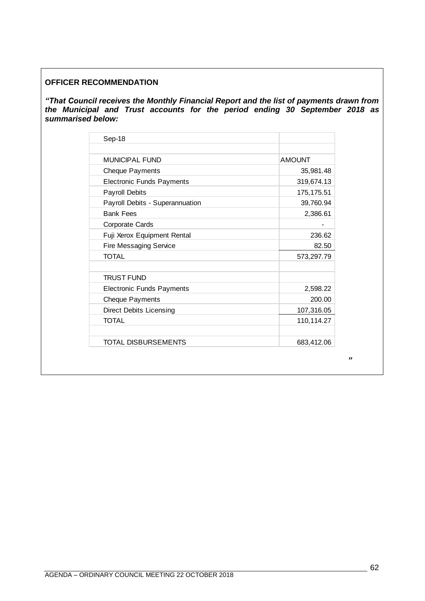### **OFFICER RECOMMENDATION**

*"That Council receives the Monthly Financial Report and the list of payments drawn from the Municipal and Trust accounts for the period ending 30 September 2018 as summarised below:* 

| Sep-18                           |               |
|----------------------------------|---------------|
| <b>MUNICIPAL FUND</b>            | <b>AMOUNT</b> |
| <b>Cheque Payments</b>           | 35,981.48     |
| <b>Electronic Funds Payments</b> | 319,674.13    |
| <b>Payroll Debits</b>            | 175, 175.51   |
| Payroll Debits - Superannuation  | 39,760.94     |
| <b>Bank Fees</b>                 | 2,386.61      |
| <b>Corporate Cards</b>           |               |
| Fuji Xerox Equipment Rental      | 236.62        |
| <b>Fire Messaging Service</b>    | 82.50         |
| <b>TOTAL</b>                     | 573,297.79    |
| <b>TRUST FUND</b>                |               |
| <b>Electronic Funds Payments</b> | 2,598.22      |
| <b>Cheque Payments</b>           | 200.00        |
| <b>Direct Debits Licensing</b>   | 107,316.05    |
| <b>TOTAL</b>                     | 110,114.27    |
| <b>TOTAL DISBURSEMENTS</b>       | 683,412.06    |

*"*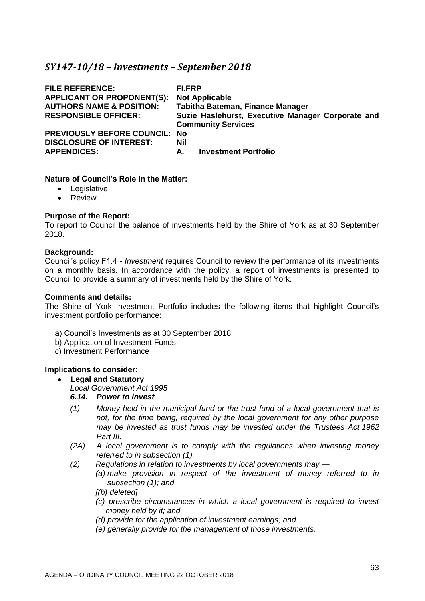# <span id="page-62-0"></span>*SY147-10/18 – Investments – September 2018*

| <b>FILE REFERENCE:</b><br><b>APPLICANT OR PROPONENT(S):</b><br><b>AUTHORS NAME &amp; POSITION:</b><br><b>RESPONSIBLE OFFICER:</b> | FI.FRP<br><b>Not Applicable</b><br>Tabitha Bateman, Finance Manager<br>Suzie Haslehurst, Executive Manager Corporate and<br><b>Community Services</b> |
|-----------------------------------------------------------------------------------------------------------------------------------|-------------------------------------------------------------------------------------------------------------------------------------------------------|
| <b>PREVIOUSLY BEFORE COUNCIL:</b><br><b>DISCLOSURE OF INTEREST:</b><br><b>APPENDICES:</b>                                         | No<br>Nil<br><b>Investment Portfolio</b><br>А.                                                                                                        |

### **Nature of Council's Role in the Matter:**

- Legislative
- Review

### **Purpose of the Report:**

To report to Council the balance of investments held by the Shire of York as at 30 September 2018.

#### **Background:**

Council's policy F1.4 - *Investment* requires Council to review the performance of its investments on a monthly basis. In accordance with the policy, a report of investments is presented to Council to provide a summary of investments held by the Shire of York.

### **Comments and details:**

The Shire of York Investment Portfolio includes the following items that highlight Council's investment portfolio performance:

- a) Council's Investments as at 30 September 2018
- b) Application of Investment Funds
- c) Investment Performance

### **Implications to consider:**

#### • **Legal and Statutory**

*Local Government Act 1995*

### *6.14. Power to invest*

- *(1) Money held in the municipal fund or the trust fund of a local government that is not, for the time being, required by the local government for any other purpose may be invested as trust funds may be invested under the Trustees Act 1962 Part III.*
- *(2A) A local government is to comply with the regulations when investing money referred to in subsection (1).*
- *(2) Regulations in relation to investments by local governments may —*
	- *(a) make provision in respect of the investment of money referred to in subsection (1); and*
		- *[(b) deleted]*
		- *(c) prescribe circumstances in which a local government is required to invest money held by it; and*
		- *(d) provide for the application of investment earnings; and*
		- *(e) generally provide for the management of those investments.*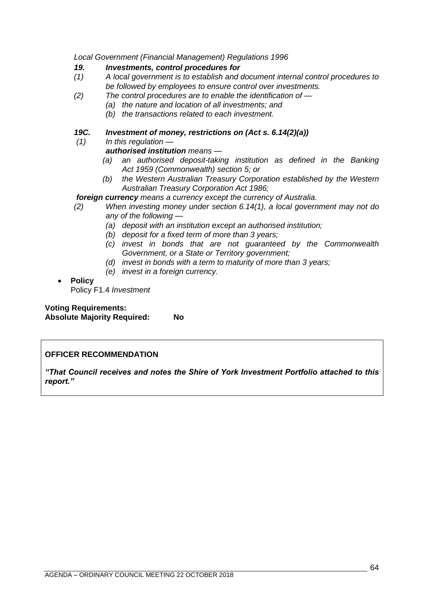*Local Government (Financial Management) Regulations 1996*

### *19. Investments, control procedures for*

- *(1) A local government is to establish and document internal control procedures to be followed by employees to ensure control over investments.*
- *(2) The control procedures are to enable the identification of —*
	- *(a) the nature and location of all investments; and*
	- *(b) the transactions related to each investment.*

### *19C. Investment of money, restrictions on (Act s. 6.14(2)(a))*

*(1) In this regulation —*

### *authorised institution means —*

- *(a) an authorised deposit-taking institution as defined in the Banking Act 1959 (Commonwealth) section 5; or*
- *(b) the Western Australian Treasury Corporation established by the Western Australian Treasury Corporation Act 1986;*

### *foreign currency means a currency except the currency of Australia.*

- *(2) When investing money under section 6.14(1), a local government may not do any of the following —*
	- *(a) deposit with an institution except an authorised institution;*
	- *(b) deposit for a fixed term of more than 3 years;*
	- *(c) invest in bonds that are not guaranteed by the Commonwealth Government, or a State or Territory government;*
	- *(d) invest in bonds with a term to maturity of more than 3 years;*
	- *(e) invest in a foreign currency.*

# • **Policy**

Policy F1.4 *Investment*

**Voting Requirements: Absolute Majority Required: No**

### **OFFICER RECOMMENDATION**

*"That Council receives and notes the Shire of York Investment Portfolio attached to this report."*